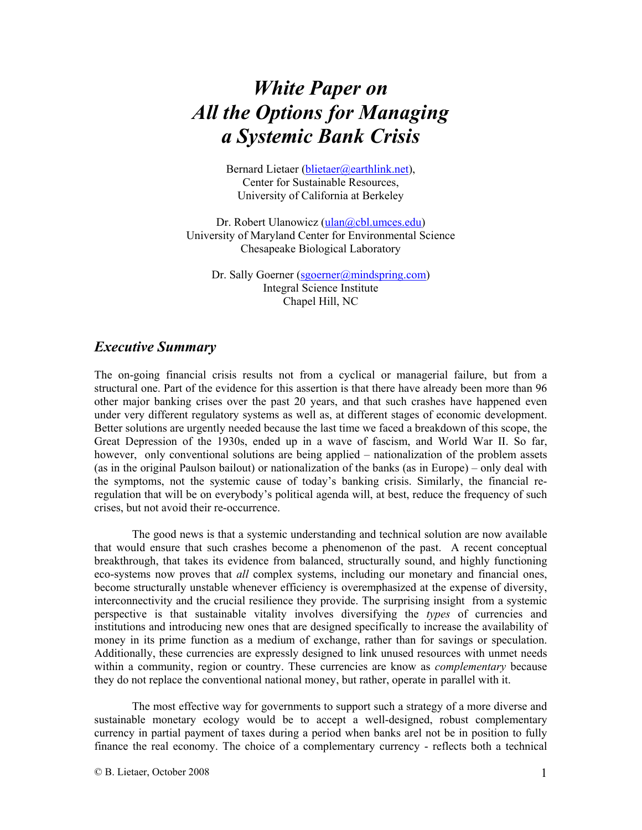# *White Paper on All the Options for Managing a Systemic Bank Crisis*

Bernard Lietaer (blietaer@earthlink.net), Center for Sustainable Resources, University of California at Berkeley

Dr. Robert Ulanowicz (ulan@cbl.umces.edu) University of Maryland Center for Environmental Science Chesapeake Biological Laboratory

Dr. Sally Goerner (sgoerner@mindspring.com) Integral Science Institute Chapel Hill, NC

## *Executive Summary*

The on-going financial crisis results not from a cyclical or managerial failure, but from a structural one. Part of the evidence for this assertion is that there have already been more than 96 other major banking crises over the past 20 years, and that such crashes have happened even under very different regulatory systems as well as, at different stages of economic development. Better solutions are urgently needed because the last time we faced a breakdown of this scope, the Great Depression of the 1930s, ended up in a wave of fascism, and World War II. So far, however, only conventional solutions are being applied – nationalization of the problem assets (as in the original Paulson bailout) or nationalization of the banks (as in Europe) – only deal with the symptoms, not the systemic cause of today's banking crisis. Similarly, the financial reregulation that will be on everybody's political agenda will, at best, reduce the frequency of such crises, but not avoid their re-occurrence.

 The good news is that a systemic understanding and technical solution are now available that would ensure that such crashes become a phenomenon of the past. A recent conceptual breakthrough, that takes its evidence from balanced, structurally sound, and highly functioning eco-systems now proves that *all* complex systems, including our monetary and financial ones, become structurally unstable whenever efficiency is overemphasized at the expense of diversity, interconnectivity and the crucial resilience they provide. The surprising insight from a systemic perspective is that sustainable vitality involves diversifying the *types* of currencies and institutions and introducing new ones that are designed specifically to increase the availability of money in its prime function as a medium of exchange, rather than for savings or speculation. Additionally, these currencies are expressly designed to link unused resources with unmet needs within a community, region or country. These currencies are know as *complementary* because they do not replace the conventional national money, but rather, operate in parallel with it.

 The most effective way for governments to support such a strategy of a more diverse and sustainable monetary ecology would be to accept a well-designed, robust complementary currency in partial payment of taxes during a period when banks arel not be in position to fully finance the real economy. The choice of a complementary currency - reflects both a technical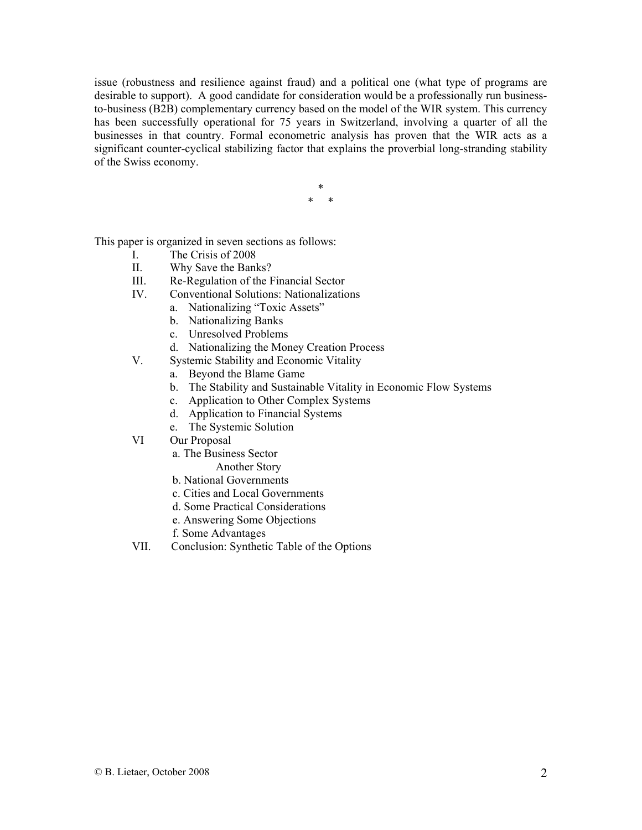issue (robustness and resilience against fraud) and a political one (what type of programs are desirable to support). A good candidate for consideration would be a professionally run businessto-business (B2B) complementary currency based on the model of the WIR system. This currency has been successfully operational for 75 years in Switzerland, involving a quarter of all the businesses in that country. Formal econometric analysis has proven that the WIR acts as a significant counter-cyclical stabilizing factor that explains the proverbial long-stranding stability of the Swiss economy.

> \* \* \*

This paper is organized in seven sections as follows:

- I. The Crisis of 2008
- II. Why Save the Banks?
- III. Re-Regulation of the Financial Sector
- IV. Conventional Solutions: Nationalizations
	- a. Nationalizing "Toxic Assets"
	- b. Nationalizing Banks
	- c. Unresolved Problems
	- d. Nationalizing the Money Creation Process
- V. Systemic Stability and Economic Vitality
	- a. Beyond the Blame Game
	- b. The Stability and Sustainable Vitality in Economic Flow Systems
	- c. Application to Other Complex Systems
	- d. Application to Financial Systems
	- e. The Systemic Solution
- VI Our Proposal
	- a. The Business Sector
		- Another Story
	- b. National Governments
	- c. Cities and Local Governments
	- d. Some Practical Considerations
	- e. Answering Some Objections
	- f. Some Advantages
- VII. Conclusion: Synthetic Table of the Options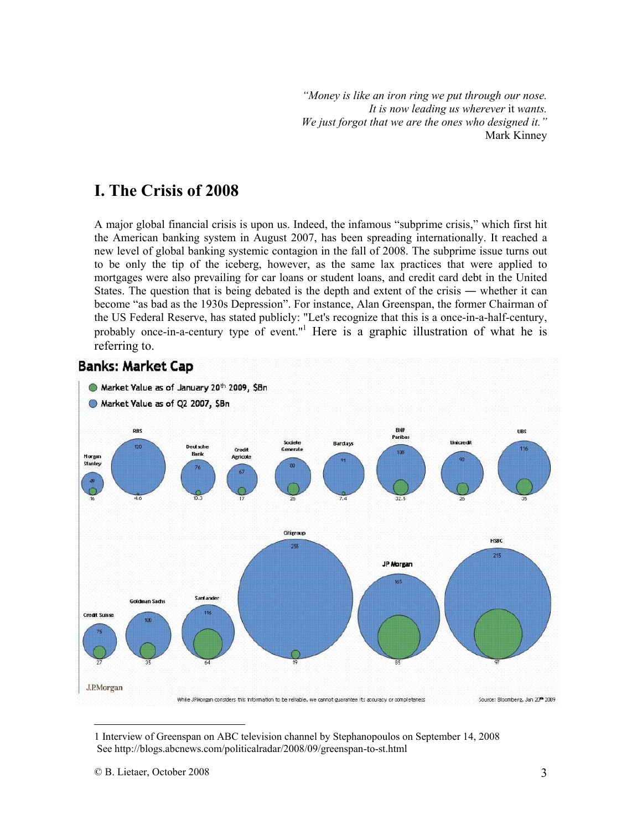*"Money is like an iron ring we put through our nose. It is now leading us wherever* it *wants. We just forgot that we are the ones who designed it."*  Mark Kinney

## **I. The Crisis of 2008**

A major global financial crisis is upon us. Indeed, the infamous "subprime crisis," which first hit the American banking system in August 2007, has been spreading internationally. It reached a new level of global banking systemic contagion in the fall of 2008. The subprime issue turns out to be only the tip of the iceberg, however, as the same lax practices that were applied to mortgages were also prevailing for car loans or student loans, and credit card debt in the United States. The question that is being debated is the depth and extent of the crisis ― whether it can become "as bad as the 1930s Depression". For instance, Alan Greenspan, the former Chairman of the US Federal Reserve, has stated publicly: "Let's recognize that this is a once-in-a-half-century, probably once-in-a-century type of event."<sup>1</sup> Here is a graphic illustration of what he is referring to.



 $\overline{a}$ 1 Interview of Greenspan on ABC television channel by Stephanopoulos on September 14, 2008 See http://blogs.abcnews.com/politicalradar/2008/09/greenspan-to-st.html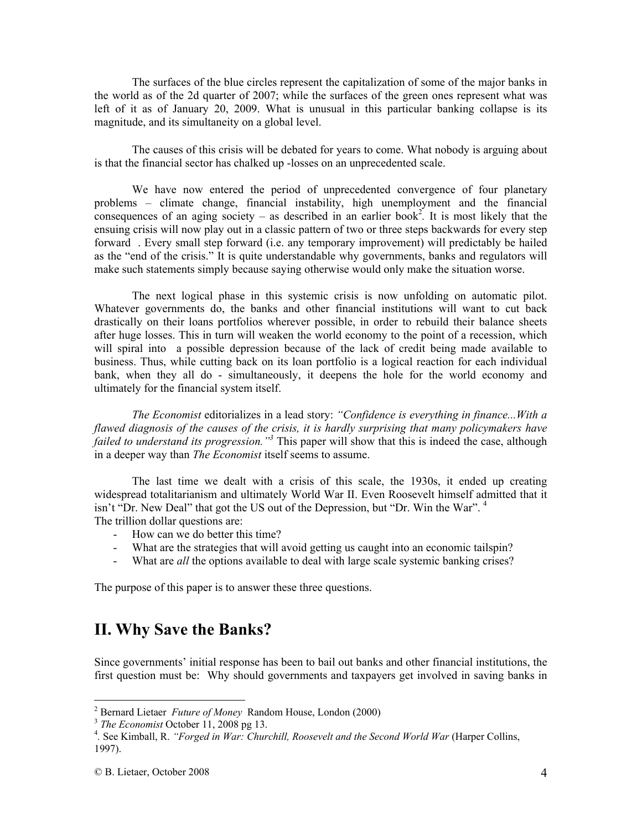The surfaces of the blue circles represent the capitalization of some of the major banks in the world as of the 2d quarter of 2007; while the surfaces of the green ones represent what was left of it as of January 20, 2009. What is unusual in this particular banking collapse is its magnitude, and its simultaneity on a global level.

 The causes of this crisis will be debated for years to come. What nobody is arguing about is that the financial sector has chalked up -losses on an unprecedented scale.

 We have now entered the period of unprecedented convergence of four planetary problems – climate change, financial instability, high unemployment and the financial consequences of an aging society – as described in an earlier book<sup>2</sup>. It is most likely that the ensuing crisis will now play out in a classic pattern of two or three steps backwards for every step forward . Every small step forward (i.e. any temporary improvement) will predictably be hailed as the "end of the crisis." It is quite understandable why governments, banks and regulators will make such statements simply because saying otherwise would only make the situation worse.

 The next logical phase in this systemic crisis is now unfolding on automatic pilot. Whatever governments do, the banks and other financial institutions will want to cut back drastically on their loans portfolios wherever possible, in order to rebuild their balance sheets after huge losses. This in turn will weaken the world economy to the point of a recession, which will spiral into a possible depression because of the lack of credit being made available to business. Thus, while cutting back on its loan portfolio is a logical reaction for each individual bank, when they all do - simultaneously, it deepens the hole for the world economy and ultimately for the financial system itself.

*The Economist* editorializes in a lead story: *"Confidence is everything in finance...With a flawed diagnosis of the causes of the crisis, it is hardly surprising that many policymakers have failed to understand its progression.*"<sup>3</sup> This paper will show that this is indeed the case, although in a deeper way than *The Economist* itself seems to assume.

 The last time we dealt with a crisis of this scale, the 1930s, it ended up creating widespread totalitarianism and ultimately World War II. Even Roosevelt himself admitted that it isn't "Dr. New Deal" that got the US out of the Depression, but "Dr. Win the War". <sup>4</sup> The trillion dollar questions are:

- How can we do better this time?
- What are the strategies that will avoid getting us caught into an economic tailspin?
- What are *all* the options available to deal with large scale systemic banking crises?

The purpose of this paper is to answer these three questions.

## **II. Why Save the Banks?**

Since governments' initial response has been to bail out banks and other financial institutions, the first question must be: Why should governments and taxpayers get involved in saving banks in

<sup>&</sup>lt;sup>2</sup> Bernard Lietaer *Future of Money* Random House, London (2000)<sup>3</sup> *The Economist* October 11, 2008 pg 13.

<sup>&</sup>lt;sup>4</sup>. See Kimball, R. "Forged in War: Churchill, Roosevelt and the Second World War (Harper Collins, 1997).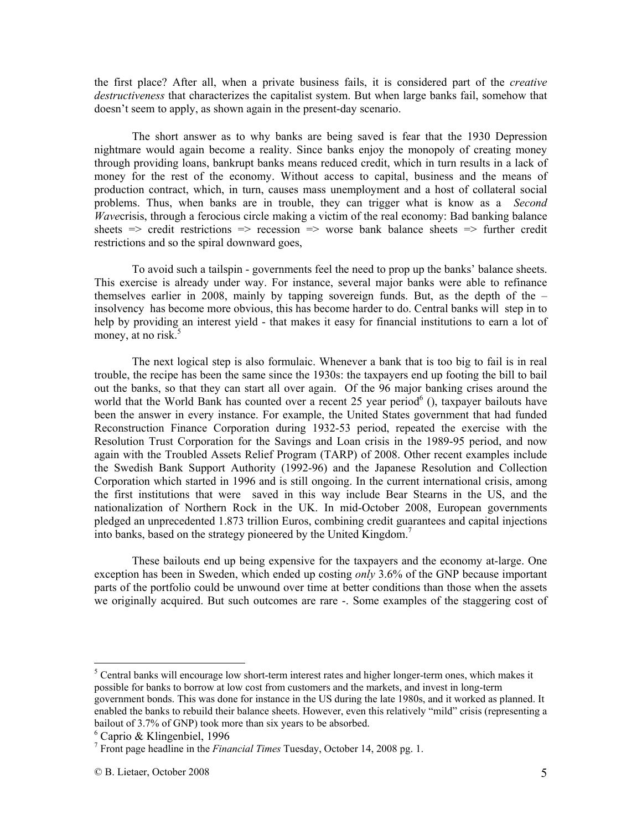the first place? After all, when a private business fails, it is considered part of the *creative destructiveness* that characterizes the capitalist system. But when large banks fail, somehow that doesn't seem to apply, as shown again in the present-day scenario.

 The short answer as to why banks are being saved is fear that the 1930 Depression nightmare would again become a reality. Since banks enjoy the monopoly of creating money through providing loans, bankrupt banks means reduced credit, which in turn results in a lack of money for the rest of the economy. Without access to capital, business and the means of production contract, which, in turn, causes mass unemployment and a host of collateral social problems. Thus, when banks are in trouble, they can trigger what is know as a *Second Wave*crisis, through a ferocious circle making a victim of the real economy: Bad banking balance sheets  $\Rightarrow$  credit restrictions  $\Rightarrow$  recession  $\Rightarrow$  worse bank balance sheets  $\Rightarrow$  further credit restrictions and so the spiral downward goes,

 To avoid such a tailspin - governments feel the need to prop up the banks' balance sheets. This exercise is already under way. For instance, several major banks were able to refinance themselves earlier in 2008, mainly by tapping sovereign funds. But, as the depth of the – insolvency has become more obvious, this has become harder to do. Central banks will step in to help by providing an interest yield - that makes it easy for financial institutions to earn a lot of money, at no risk. $5$ 

 The next logical step is also formulaic. Whenever a bank that is too big to fail is in real trouble, the recipe has been the same since the 1930s: the taxpayers end up footing the bill to bail out the banks, so that they can start all over again. Of the 96 major banking crises around the world that the World Bank has counted over a recent 25 year period  $($ ), taxpayer bailouts have been the answer in every instance. For example, the United States government that had funded Reconstruction Finance Corporation during 1932-53 period, repeated the exercise with the Resolution Trust Corporation for the Savings and Loan crisis in the 1989-95 period, and now again with the Troubled Assets Relief Program (TARP) of 2008. Other recent examples include the Swedish Bank Support Authority (1992-96) and the Japanese Resolution and Collection Corporation which started in 1996 and is still ongoing. In the current international crisis, among the first institutions that were saved in this way include Bear Stearns in the US, and the nationalization of Northern Rock in the UK. In mid-October 2008, European governments pledged an unprecedented 1.873 trillion Euros, combining credit guarantees and capital injections into banks, based on the strategy pioneered by the United Kingdom.<sup>7</sup>

 These bailouts end up being expensive for the taxpayers and the economy at-large. One exception has been in Sweden, which ended up costing *only* 3.6% of the GNP because important parts of the portfolio could be unwound over time at better conditions than those when the assets we originally acquired. But such outcomes are rare -. Some examples of the staggering cost of

 $5$  Central banks will encourage low short-term interest rates and higher longer-term ones, which makes it possible for banks to borrow at low cost from customers and the markets, and invest in long-term government bonds. This was done for instance in the US during the late 1980s, and it worked as planned. It enabled the banks to rebuild their balance sheets. However, even this relatively "mild" crisis (representing a bailout of 3.7% of GNP) took more than six years to be absorbed.

<sup>6</sup> Caprio & Klingenbiel, 1996

<sup>7</sup> Front page headline in the *Financial Times* Tuesday, October 14, 2008 pg. 1.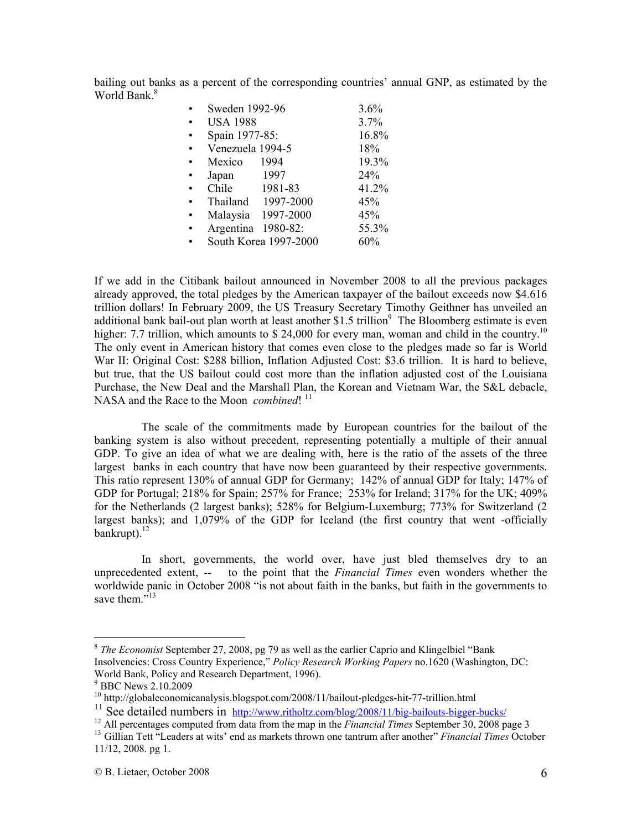bailing out banks as a percent of the corresponding countries' annual GNP, as estimated by the World Bank<sup>8</sup>

| Sweden 1992-96     | 3.6%                  |       |
|--------------------|-----------------------|-------|
| <b>USA 1988</b>    | 3.7%                  |       |
| Spain 1977-85:     | 16.8%                 |       |
| Venezuela 1994-5   | 18%                   |       |
| Mexico             | 1994                  | 19.3% |
| Japan              | 1997                  | 24%   |
| Chile              | 1981-83               | 41.2% |
| Thailand           | 1997-2000             | 45%   |
| Malaysia 1997-2000 |                       | 45%   |
| Argentina          | 1980-82:              | 55.3% |
|                    | South Korea 1997-2000 | 60%   |

If we add in the Citibank bailout announced in November 2008 to all the previous packages already approved, the total pledges by the American taxpayer of the bailout exceeds now \$4.616 trillion dollars! In February 2009, the US Treasury Secretary Timothy Geithner has unveiled an additional bank bail-out plan worth at least another \$1.5 trillion<sup>9</sup> The Bloomberg estimate is even higher: 7.7 trillion, which amounts to \$ 24,000 for every man, woman and child in the country.<sup>10</sup> The only event in American history that comes even close to the pledges made so far is World War II: Original Cost: \$288 billion, Inflation Adjusted Cost: \$3.6 trillion. It is hard to believe, but true, that the US bailout could cost more than the inflation adjusted cost of the Louisiana Purchase, the New Deal and the Marshall Plan, the Korean and Vietnam War, the S&L debacle, NASA and the Race to the Moon *combined*!<sup>11</sup>

 The scale of the commitments made by European countries for the bailout of the banking system is also without precedent, representing potentially a multiple of their annual GDP. To give an idea of what we are dealing with, here is the ratio of the assets of the three largest banks in each country that have now been guaranteed by their respective governments. This ratio represent 130% of annual GDP for Germany; 142% of annual GDP for Italy; 147% of GDP for Portugal; 218% for Spain; 257% for France; 253% for Ireland; 317% for the UK; 409% for the Netherlands (2 largest banks); 528% for Belgium-Luxemburg; 773% for Switzerland (2 largest banks); and 1,079% of the GDP for Iceland (the first country that went -officially bankrupt). $12$ 

 In short, governments, the world over, have just bled themselves dry to an unprecedented extent, -- to the point that the *Financial Times* even wonders whether the worldwide panic in October 2008 "is not about faith in the banks, but faith in the governments to save them.<sup>513</sup>

 $\overline{a}$ <sup>8</sup> *The Economist* September 27, 2008, pg 79 as well as the earlier Caprio and Klingelbiel "Bank Insolvencies: Cross Country Experience," *Policy Research Working Papers* no.1620 (Washington, DC: World Bank, Policy and Research Department, 1996).

<sup>&</sup>lt;sup>9</sup> BBC News 2.10.2009

<sup>10</sup> http://globaleconomicanalysis.blogspot.com/2008/11/bailout-pledges-hit-77-trillion.html

<sup>&</sup>lt;sup>11</sup> See detailed numbers in  $\frac{http://www.ritholtz.com/blog/2008/11/big-bailouts-bigger-bucks/}{^{12}}$ <br><sup>12</sup> All percentages computed from data from the map in the *Financial Times* September 30, 2008 page 3<br><sup>13</sup> Gillian Tett "Leaders at wits' end as market

<sup>11/12, 2008.</sup> pg 1.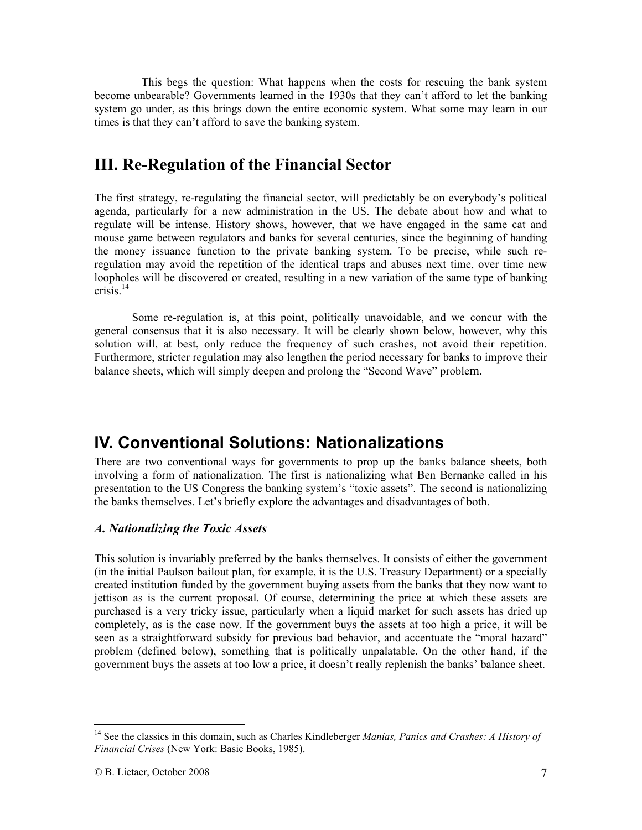This begs the question: What happens when the costs for rescuing the bank system become unbearable? Governments learned in the 1930s that they can't afford to let the banking system go under, as this brings down the entire economic system. What some may learn in our times is that they can't afford to save the banking system.

## **III. Re-Regulation of the Financial Sector**

The first strategy, re-regulating the financial sector, will predictably be on everybody's political agenda, particularly for a new administration in the US. The debate about how and what to regulate will be intense. History shows, however, that we have engaged in the same cat and mouse game between regulators and banks for several centuries, since the beginning of handing the money issuance function to the private banking system. To be precise, while such reregulation may avoid the repetition of the identical traps and abuses next time, over time new loopholes will be discovered or created, resulting in a new variation of the same type of banking crisis<sup>14</sup>

 Some re-regulation is, at this point, politically unavoidable, and we concur with the general consensus that it is also necessary. It will be clearly shown below, however, why this solution will, at best, only reduce the frequency of such crashes, not avoid their repetition. Furthermore, stricter regulation may also lengthen the period necessary for banks to improve their balance sheets, which will simply deepen and prolong the "Second Wave" problem.

## **IV. Conventional Solutions: Nationalizations**

There are two conventional ways for governments to prop up the banks balance sheets, both involving a form of nationalization. The first is nationalizing what Ben Bernanke called in his presentation to the US Congress the banking system's "toxic assets". The second is nationalizing the banks themselves. Let's briefly explore the advantages and disadvantages of both.

### *A. Nationalizing the Toxic Assets*

This solution is invariably preferred by the banks themselves. It consists of either the government (in the initial Paulson bailout plan, for example, it is the U.S. Treasury Department) or a specially created institution funded by the government buying assets from the banks that they now want to jettison as is the current proposal. Of course, determining the price at which these assets are purchased is a very tricky issue, particularly when a liquid market for such assets has dried up completely, as is the case now. If the government buys the assets at too high a price, it will be seen as a straightforward subsidy for previous bad behavior, and accentuate the "moral hazard" problem (defined below), something that is politically unpalatable. On the other hand, if the government buys the assets at too low a price, it doesn't really replenish the banks' balance sheet.

<sup>14</sup> See the classics in this domain, such as Charles Kindleberger *Manias, Panics and Crashes: A History of Financial Crises* (New York: Basic Books, 1985).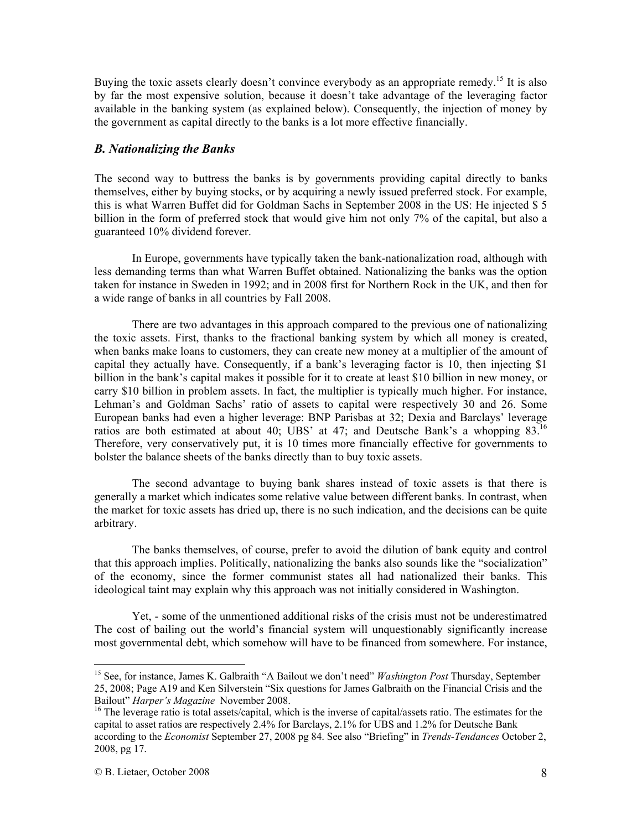Buying the toxic assets clearly doesn't convince everybody as an appropriate remedy.<sup>15</sup> It is also by far the most expensive solution, because it doesn't take advantage of the leveraging factor available in the banking system (as explained below). Consequently, the injection of money by the government as capital directly to the banks is a lot more effective financially.

#### *B. Nationalizing the Banks*

The second way to buttress the banks is by governments providing capital directly to banks themselves, either by buying stocks, or by acquiring a newly issued preferred stock. For example, this is what Warren Buffet did for Goldman Sachs in September 2008 in the US: He injected \$ 5 billion in the form of preferred stock that would give him not only 7% of the capital, but also a guaranteed 10% dividend forever.

 In Europe, governments have typically taken the bank-nationalization road, although with less demanding terms than what Warren Buffet obtained. Nationalizing the banks was the option taken for instance in Sweden in 1992; and in 2008 first for Northern Rock in the UK, and then for a wide range of banks in all countries by Fall 2008.

 There are two advantages in this approach compared to the previous one of nationalizing the toxic assets. First, thanks to the fractional banking system by which all money is created, when banks make loans to customers, they can create new money at a multiplier of the amount of capital they actually have. Consequently, if a bank's leveraging factor is 10, then injecting \$1 billion in the bank's capital makes it possible for it to create at least \$10 billion in new money, or carry \$10 billion in problem assets. In fact, the multiplier is typically much higher. For instance, Lehman's and Goldman Sachs' ratio of assets to capital were respectively 30 and 26. Some European banks had even a higher leverage: BNP Parisbas at 32; Dexia and Barclays' leverage ratios are both estimated at about 40; UBS' at 47; and Deutsche Bank's a whopping 83.16 Therefore, very conservatively put, it is 10 times more financially effective for governments to bolster the balance sheets of the banks directly than to buy toxic assets.

 The second advantage to buying bank shares instead of toxic assets is that there is generally a market which indicates some relative value between different banks. In contrast, when the market for toxic assets has dried up, there is no such indication, and the decisions can be quite arbitrary.

 The banks themselves, of course, prefer to avoid the dilution of bank equity and control that this approach implies. Politically, nationalizing the banks also sounds like the "socialization" of the economy, since the former communist states all had nationalized their banks. This ideological taint may explain why this approach was not initially considered in Washington.

 Yet, - some of the unmentioned additional risks of the crisis must not be underestimatred The cost of bailing out the world's financial system will unquestionably significantly increase most governmental debt, which somehow will have to be financed from somewhere. For instance,

<sup>15</sup> See, for instance, James K. Galbraith "A Bailout we don't need" *Washington Post* Thursday, September 25, 2008; Page A19 and Ken Silverstein "Six questions for James Galbraith on the Financial Crisis and the Bailout" *Harper's Magazine* November 2008.<br><sup>16</sup> The leverage ratio is total assets/capital, which is the inverse of capital/assets ratio. The estimates for the

capital to asset ratios are respectively 2.4% for Barclays, 2.1% for UBS and 1.2% for Deutsche Bank according to the *Economist* September 27, 2008 pg 84. See also "Briefing" in *Trends-Tendances* October 2, 2008, pg 17.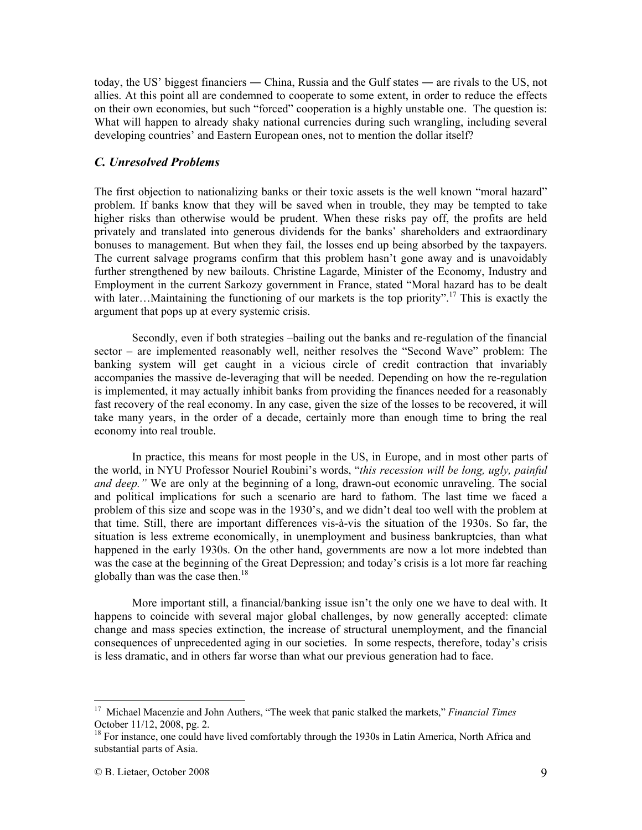today, the US' biggest financiers ― China, Russia and the Gulf states ― are rivals to the US, not allies. At this point all are condemned to cooperate to some extent, in order to reduce the effects on their own economies, but such "forced" cooperation is a highly unstable one. The question is: What will happen to already shaky national currencies during such wrangling, including several developing countries' and Eastern European ones, not to mention the dollar itself?

#### *C. Unresolved Problems*

The first objection to nationalizing banks or their toxic assets is the well known "moral hazard" problem. If banks know that they will be saved when in trouble, they may be tempted to take higher risks than otherwise would be prudent. When these risks pay off, the profits are held privately and translated into generous dividends for the banks' shareholders and extraordinary bonuses to management. But when they fail, the losses end up being absorbed by the taxpayers. The current salvage programs confirm that this problem hasn't gone away and is unavoidably further strengthened by new bailouts. Christine Lagarde, Minister of the Economy, Industry and Employment in the current Sarkozy government in France, stated "Moral hazard has to be dealt with later...Maintaining the functioning of our markets is the top priority".<sup>17</sup> This is exactly the argument that pops up at every systemic crisis.

 Secondly, even if both strategies –bailing out the banks and re-regulation of the financial sector – are implemented reasonably well, neither resolves the "Second Wave" problem: The banking system will get caught in a vicious circle of credit contraction that invariably accompanies the massive de-leveraging that will be needed. Depending on how the re-regulation is implemented, it may actually inhibit banks from providing the finances needed for a reasonably fast recovery of the real economy. In any case, given the size of the losses to be recovered, it will take many years, in the order of a decade, certainly more than enough time to bring the real economy into real trouble.

 In practice, this means for most people in the US, in Europe, and in most other parts of the world, in NYU Professor Nouriel Roubini's words, "*this recession will be long, ugly, painful and deep."* We are only at the beginning of a long, drawn-out economic unraveling. The social and political implications for such a scenario are hard to fathom. The last time we faced a problem of this size and scope was in the 1930's, and we didn't deal too well with the problem at that time. Still, there are important differences vis-à-vis the situation of the 1930s. So far, the situation is less extreme economically, in unemployment and business bankruptcies, than what happened in the early 1930s. On the other hand, governments are now a lot more indebted than was the case at the beginning of the Great Depression; and today's crisis is a lot more far reaching globally than was the case then. $18$ 

 More important still, a financial/banking issue isn't the only one we have to deal with. It happens to coincide with several major global challenges, by now generally accepted: climate change and mass species extinction, the increase of structural unemployment, and the financial consequences of unprecedented aging in our societies. In some respects, therefore, today's crisis is less dramatic, and in others far worse than what our previous generation had to face.

<sup>17</sup> Michael Macenzie and John Authers, "The week that panic stalked the markets," *Financial Times*  October 11/12, 2008, pg. 2.

<sup>&</sup>lt;sup>18</sup> For instance, one could have lived comfortably through the 1930s in Latin America, North Africa and substantial parts of Asia.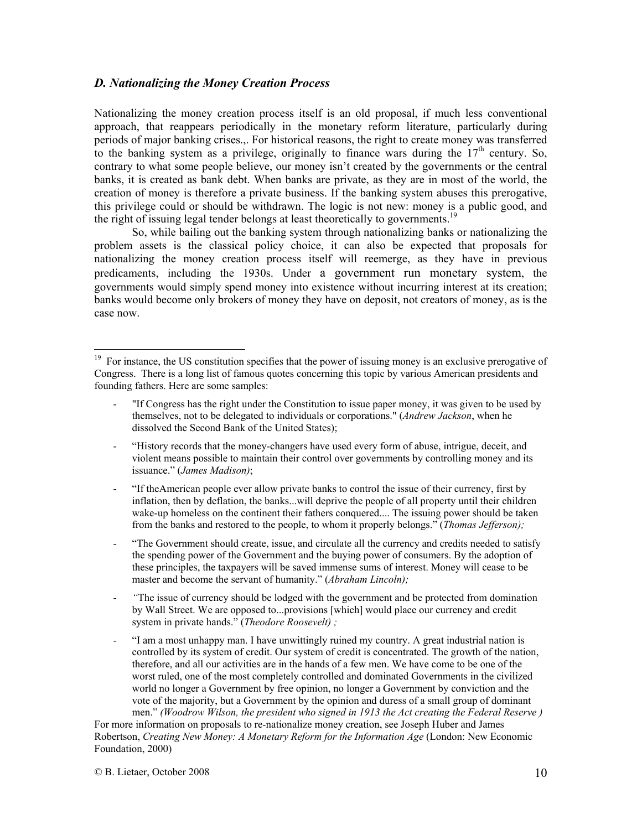#### *D. Nationalizing the Money Creation Process*

Nationalizing the money creation process itself is an old proposal, if much less conventional approach, that reappears periodically in the monetary reform literature, particularly during periods of major banking crises.,. For historical reasons, the right to create money was transferred to the banking system as a privilege, originally to finance wars during the  $17<sup>th</sup>$  century. So, contrary to what some people believe, our money isn't created by the governments or the central banks, it is created as bank debt. When banks are private, as they are in most of the world, the creation of money is therefore a private business. If the banking system abuses this prerogative, this privilege could or should be withdrawn. The logic is not new: money is a public good, and the right of issuing legal tender belongs at least theoretically to governments.<sup>19</sup>

 So, while bailing out the banking system through nationalizing banks or nationalizing the problem assets is the classical policy choice, it can also be expected that proposals for nationalizing the money creation process itself will reemerge, as they have in previous predicaments, including the 1930s. Under a government run monetary system, the governments would simply spend money into existence without incurring interest at its creation; banks would become only brokers of money they have on deposit, not creators of money, as is the case now.

For more information on proposals to re-nationalize money creation, see Joseph Huber and James Robertson, *Creating New Money: A Monetary Reform for the Information Age* (London: New Economic Foundation, 2000)

<sup>&</sup>lt;sup>19</sup> For instance, the US constitution specifies that the power of issuing money is an exclusive prerogative of Congress. There is a long list of famous quotes concerning this topic by various American presidents and founding fathers. Here are some samples:

<sup>-</sup> "If Congress has the right under the Constitution to issue paper money, it was given to be used by themselves, not to be delegated to individuals or corporations." (*Andrew Jackson*, when he dissolved the Second Bank of the United States);

<sup>-</sup> "History records that the money-changers have used every form of abuse, intrigue, deceit, and violent means possible to maintain their control over governments by controlling money and its issuance." (*James Madison)*;

<sup>-</sup> "If theAmerican people ever allow private banks to control the issue of their currency, first by inflation, then by deflation, the banks...will deprive the people of all property until their children wake-up homeless on the continent their fathers conquered.... The issuing power should be taken from the banks and restored to the people, to whom it properly belongs." (*Thomas Jefferson);*

<sup>-</sup> "The Government should create, issue, and circulate all the currency and credits needed to satisfy the spending power of the Government and the buying power of consumers. By the adoption of these principles, the taxpayers will be saved immense sums of interest. Money will cease to be master and become the servant of humanity." (*Abraham Lincoln);* 

<sup>-</sup> *"*The issue of currency should be lodged with the government and be protected from domination by Wall Street. We are opposed to...provisions [which] would place our currency and credit system in private hands." (*Theodore Roosevelt) ;* 

<sup>-</sup> "I am a most unhappy man. I have unwittingly ruined my country. A great industrial nation is controlled by its system of credit. Our system of credit is concentrated. The growth of the nation, therefore, and all our activities are in the hands of a few men. We have come to be one of the worst ruled, one of the most completely controlled and dominated Governments in the civilized world no longer a Government by free opinion, no longer a Government by conviction and the vote of the majority, but a Government by the opinion and duress of a small group of dominant men." *(Woodrow Wilson, the president who signed in 1913 the Act creating the Federal Reserve )*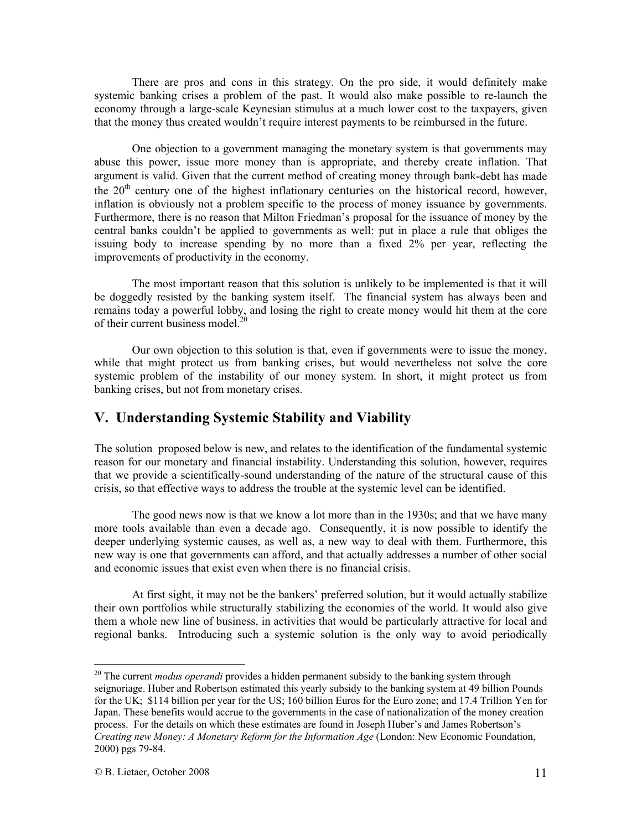There are pros and cons in this strategy. On the pro side, it would definitely make systemic banking crises a problem of the past. It would also make possible to re-launch the economy through a large-scale Keynesian stimulus at a much lower cost to the taxpayers, given that the money thus created wouldn't require interest payments to be reimbursed in the future.

 One objection to a government managing the monetary system is that governments may abuse this power, issue more money than is appropriate, and thereby create inflation. That argument is valid. Given that the current method of creating money through bank-debt has made the  $20<sup>th</sup>$  century one of the highest inflationary centuries on the historical record, however, inflation is obviously not a problem specific to the process of money issuance by governments. Furthermore, there is no reason that Milton Friedman's proposal for the issuance of money by the central banks couldn't be applied to governments as well: put in place a rule that obliges the issuing body to increase spending by no more than a fixed 2% per year, reflecting the improvements of productivity in the economy.

 The most important reason that this solution is unlikely to be implemented is that it will be doggedly resisted by the banking system itself. The financial system has always been and remains today a powerful lobby, and losing the right to create money would hit them at the core of their current business model.<sup>20</sup>

 Our own objection to this solution is that, even if governments were to issue the money, while that might protect us from banking crises, but would nevertheless not solve the core systemic problem of the instability of our money system. In short, it might protect us from banking crises, but not from monetary crises.

## **V. Understanding Systemic Stability and Viability**

The solution proposed below is new, and relates to the identification of the fundamental systemic reason for our monetary and financial instability. Understanding this solution, however, requires that we provide a scientifically-sound understanding of the nature of the structural cause of this crisis, so that effective ways to address the trouble at the systemic level can be identified.

 The good news now is that we know a lot more than in the 1930s; and that we have many more tools available than even a decade ago. Consequently, it is now possible to identify the deeper underlying systemic causes, as well as, a new way to deal with them. Furthermore, this new way is one that governments can afford, and that actually addresses a number of other social and economic issues that exist even when there is no financial crisis.

 At first sight, it may not be the bankers' preferred solution, but it would actually stabilize their own portfolios while structurally stabilizing the economies of the world. It would also give them a whole new line of business, in activities that would be particularly attractive for local and regional banks. Introducing such a systemic solution is the only way to avoid periodically

<sup>&</sup>lt;sup>20</sup> The current *modus operandi* provides a hidden permanent subsidy to the banking system through seignoriage. Huber and Robertson estimated this yearly subsidy to the banking system at 49 billion Pounds for the UK; \$114 billion per year for the US; 160 billion Euros for the Euro zone; and 17.4 Trillion Yen for Japan. These benefits would accrue to the governments in the case of nationalization of the money creation process. For the details on which these estimates are found in Joseph Huber's and James Robertson's *Creating new Money: A Monetary Reform for the Information Age* (London: New Economic Foundation, 2000) pgs 79-84.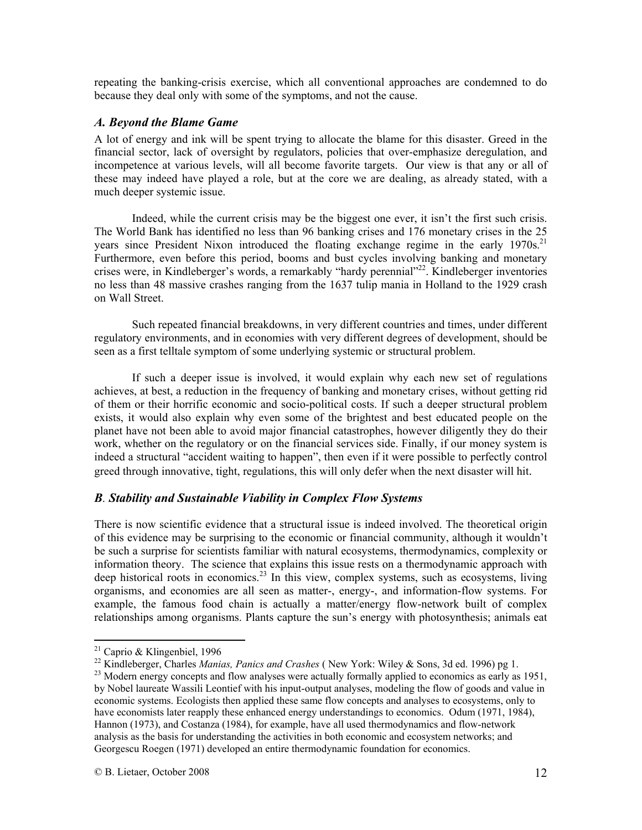repeating the banking-crisis exercise, which all conventional approaches are condemned to do because they deal only with some of the symptoms, and not the cause.

#### *A. Beyond the Blame Game*

A lot of energy and ink will be spent trying to allocate the blame for this disaster. Greed in the financial sector, lack of oversight by regulators, policies that over-emphasize deregulation, and incompetence at various levels, will all become favorite targets. Our view is that any or all of these may indeed have played a role, but at the core we are dealing, as already stated, with a much deeper systemic issue.

 Indeed, while the current crisis may be the biggest one ever, it isn't the first such crisis. The World Bank has identified no less than 96 banking crises and 176 monetary crises in the 25 years since President Nixon introduced the floating exchange regime in the early 1970s.<sup>21</sup> Furthermore, even before this period, booms and bust cycles involving banking and monetary crises were, in Kindleberger's words, a remarkably "hardy perennial"<sup>22</sup>. Kindleberger inventories no less than 48 massive crashes ranging from the 1637 tulip mania in Holland to the 1929 crash on Wall Street.

 Such repeated financial breakdowns, in very different countries and times, under different regulatory environments, and in economies with very different degrees of development, should be seen as a first telltale symptom of some underlying systemic or structural problem.

 If such a deeper issue is involved, it would explain why each new set of regulations achieves, at best, a reduction in the frequency of banking and monetary crises, without getting rid of them or their horrific economic and socio-political costs. If such a deeper structural problem exists, it would also explain why even some of the brightest and best educated people on the planet have not been able to avoid major financial catastrophes, however diligently they do their work, whether on the regulatory or on the financial services side. Finally, if our money system is indeed a structural "accident waiting to happen", then even if it were possible to perfectly control greed through innovative, tight, regulations, this will only defer when the next disaster will hit.

### *B. Stability and Sustainable Viability in Complex Flow Systems*

There is now scientific evidence that a structural issue is indeed involved. The theoretical origin of this evidence may be surprising to the economic or financial community, although it wouldn't be such a surprise for scientists familiar with natural ecosystems, thermodynamics, complexity or information theory. The science that explains this issue rests on a thermodynamic approach with deep historical roots in economics.<sup>23</sup> In this view, complex systems, such as ecosystems, living organisms, and economies are all seen as matter-, energy-, and information-flow systems. For example, the famous food chain is actually a matter/energy flow-network built of complex relationships among organisms. Plants capture the sun's energy with photosynthesis; animals eat

 $\overline{a}$ 

<sup>&</sup>lt;sup>21</sup> Caprio & Klingenbiel, 1996<br><sup>22</sup> Kindleberger, Charles *Manias, Panics and Crashes* (New York: Wiley & Sons, 3d ed. 1996) pg 1.

<sup>&</sup>lt;sup>23</sup> Modern energy concepts and flow analyses were actually formally applied to economics as early as 1951, by Nobel laureate Wassili Leontief with his input-output analyses, modeling the flow of goods and value in economic systems. Ecologists then applied these same flow concepts and analyses to ecosystems, only to have economists later reapply these enhanced energy understandings to economics. Odum (1971, 1984), Hannon (1973), and Costanza (1984), for example, have all used thermodynamics and flow-network analysis as the basis for understanding the activities in both economic and ecosystem networks; and Georgescu Roegen (1971) developed an entire thermodynamic foundation for economics.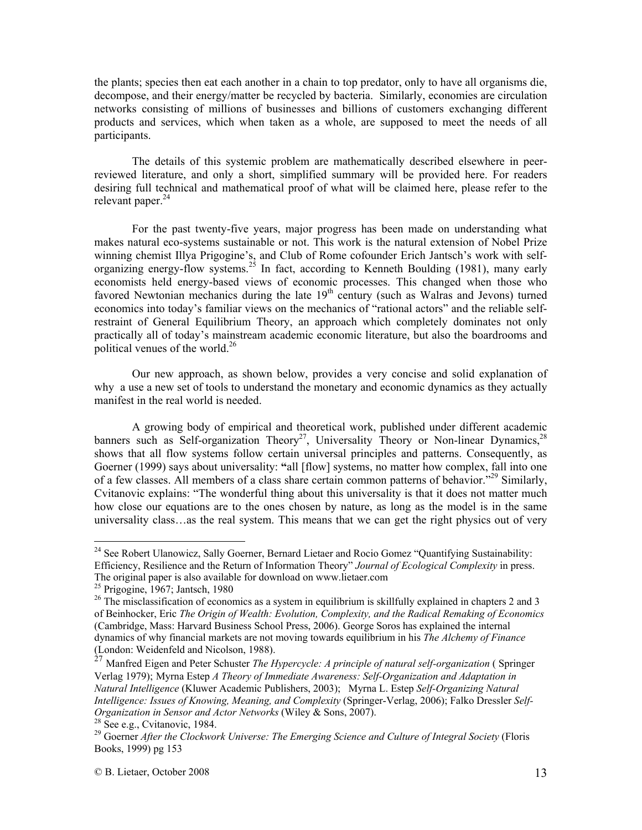the plants; species then eat each another in a chain to top predator, only to have all organisms die, decompose, and their energy/matter be recycled by bacteria. Similarly, economies are circulation networks consisting of millions of businesses and billions of customers exchanging different products and services, which when taken as a whole, are supposed to meet the needs of all participants.

 The details of this systemic problem are mathematically described elsewhere in peerreviewed literature, and only a short, simplified summary will be provided here. For readers desiring full technical and mathematical proof of what will be claimed here, please refer to the relevant paper.<sup>24</sup>

 For the past twenty-five years, major progress has been made on understanding what makes natural eco-systems sustainable or not. This work is the natural extension of Nobel Prize winning chemist Illya Prigogine's, and Club of Rome cofounder Erich Jantsch's work with selforganizing energy-flow systems.<sup>25</sup> In fact, according to Kenneth Boulding (1981), many early economists held energy-based views of economic processes. This changed when those who favored Newtonian mechanics during the late  $19<sup>th</sup>$  century (such as Walras and Jevons) turned economics into today's familiar views on the mechanics of "rational actors" and the reliable selfrestraint of General Equilibrium Theory, an approach which completely dominates not only practically all of today's mainstream academic economic literature, but also the boardrooms and political venues of the world.<sup>26</sup>

 Our new approach, as shown below, provides a very concise and solid explanation of why a use a new set of tools to understand the monetary and economic dynamics as they actually manifest in the real world is needed.

 A growing body of empirical and theoretical work, published under different academic banners such as Self-organization Theory<sup>27</sup>, Universality Theory or Non-linear Dynamics,<sup>28</sup> shows that all flow systems follow certain universal principles and patterns. Consequently, as Goerner (1999) says about universality: **"**all [flow] systems, no matter how complex, fall into one of a few classes. All members of a class share certain common patterns of behavior."<sup>29</sup> Similarly, Cvitanovic explains: "The wonderful thing about this universality is that it does not matter much how close our equations are to the ones chosen by nature, as long as the model is in the same universality class…as the real system. This means that we can get the right physics out of very

<sup>&</sup>lt;sup>24</sup> See Robert Ulanowicz, Sally Goerner, Bernard Lietaer and Rocio Gomez "Quantifying Sustainability: Efficiency, Resilience and the Return of Information Theory" *Journal of Ecological Complexity* in press. The original paper is also available for download on www.lietaer.com 25 Prigogine, 1967; Jantsch, 1980

 $^{26}$  The misclassification of economics as a system in equilibrium is skillfully explained in chapters 2 and 3 of Beinhocker, Eric *The Origin of Wealth: Evolution, Complexity, and the Radical Remaking of Economics*  (Cambridge, Mass: Harvard Business School Press, 2006). George Soros has explained the internal dynamics of why financial markets are not moving towards equilibrium in his *The Alchemy of Finance*  (London: Weidenfeld and Nicolson, 1988).

<sup>27</sup> Manfred Eigen and Peter Schuster *The Hypercycle: A principle of natural self-organization* ( Springer Verlag 1979); Myrna Estep *A Theory of Immediate Awareness: Self-Organization and Adaptation in Natural Intelligence* (Kluwer Academic Publishers, 2003); Myrna L. Estep *Self-Organizing Natural Intelligence: Issues of Knowing, Meaning, and Complexity* (Springer-Verlag, 2006); Falko Dressler *Self-Organization in Sensor and Actor Networks* (Wiley & Sons, 2007). 28 See e.g., Cvitanovic, 1984.

<sup>&</sup>lt;sup>29</sup> Goerner *After the Clockwork Universe: The Emerging Science and Culture of Integral Society (Floris* Books, 1999) pg 153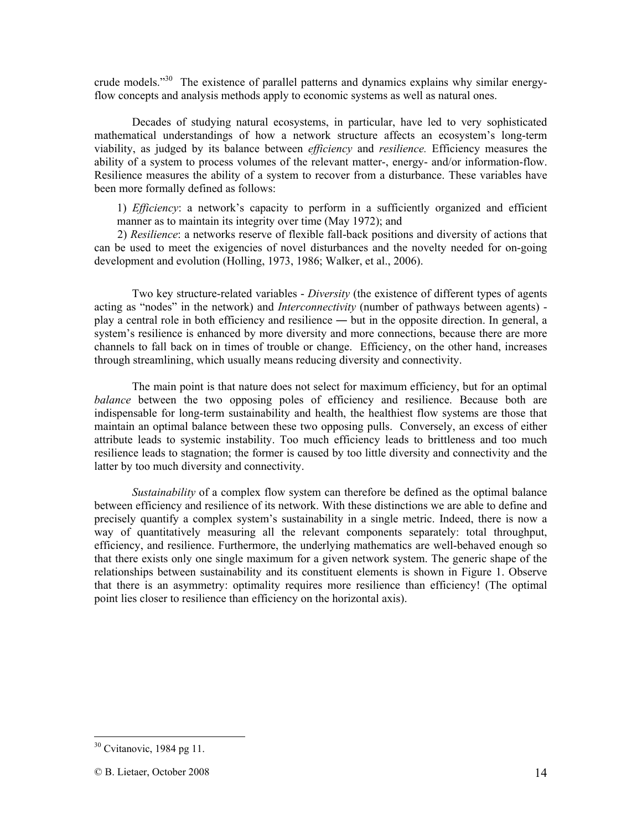crude models."<sup>30</sup> The existence of parallel patterns and dynamics explains why similar energyflow concepts and analysis methods apply to economic systems as well as natural ones.

 Decades of studying natural ecosystems, in particular, have led to very sophisticated mathematical understandings of how a network structure affects an ecosystem's long-term viability, as judged by its balance between *efficiency* and *resilience.* Efficiency measures the ability of a system to process volumes of the relevant matter-, energy- and/or information-flow. Resilience measures the ability of a system to recover from a disturbance. These variables have been more formally defined as follows:

1) *Efficiency*: a network's capacity to perform in a sufficiently organized and efficient manner as to maintain its integrity over time (May 1972); and

 2) *Resilience*: a networks reserve of flexible fall-back positions and diversity of actions that can be used to meet the exigencies of novel disturbances and the novelty needed for on-going development and evolution (Holling, 1973, 1986; Walker, et al., 2006).

Two key structure-related variables - *Diversity* (the existence of different types of agents acting as "nodes" in the network) and *Interconnectivity* (number of pathways between agents) play a central role in both efficiency and resilience ― but in the opposite direction. In general, a system's resilience is enhanced by more diversity and more connections, because there are more channels to fall back on in times of trouble or change. Efficiency, on the other hand, increases through streamlining, which usually means reducing diversity and connectivity.

 The main point is that nature does not select for maximum efficiency, but for an optimal *balance* between the two opposing poles of efficiency and resilience. Because both are indispensable for long-term sustainability and health, the healthiest flow systems are those that maintain an optimal balance between these two opposing pulls. Conversely, an excess of either attribute leads to systemic instability. Too much efficiency leads to brittleness and too much resilience leads to stagnation; the former is caused by too little diversity and connectivity and the latter by too much diversity and connectivity.

 *Sustainability* of a complex flow system can therefore be defined as the optimal balance between efficiency and resilience of its network. With these distinctions we are able to define and precisely quantify a complex system's sustainability in a single metric. Indeed, there is now a way of quantitatively measuring all the relevant components separately: total throughput, efficiency, and resilience. Furthermore, the underlying mathematics are well-behaved enough so that there exists only one single maximum for a given network system. The generic shape of the relationships between sustainability and its constituent elements is shown in Figure 1. Observe that there is an asymmetry: optimality requires more resilience than efficiency! (The optimal point lies closer to resilience than efficiency on the horizontal axis).

<sup>30</sup> Cvitanovic, 1984 pg 11.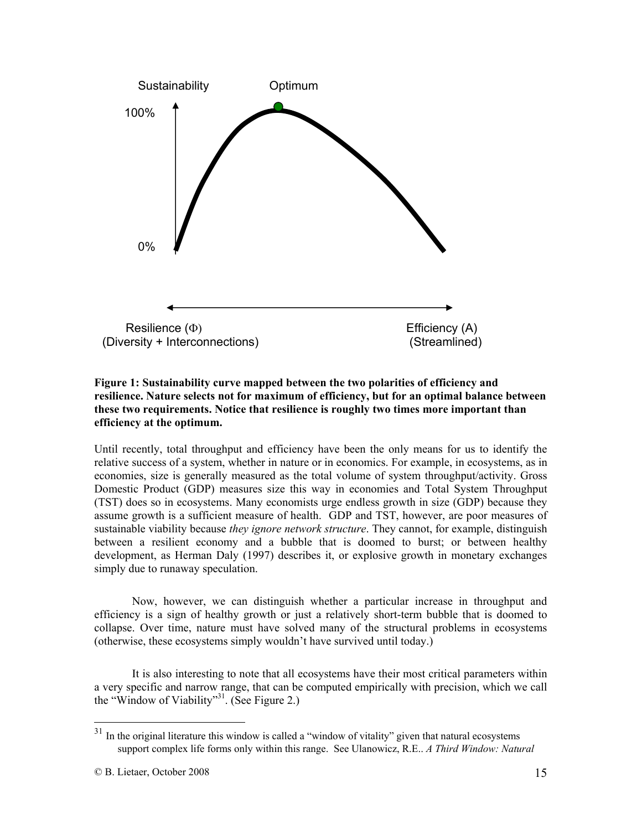

#### **Figure 1: Sustainability curve mapped between the two polarities of efficiency and resilience. Nature selects not for maximum of efficiency, but for an optimal balance between these two requirements. Notice that resilience is roughly two times more important than efficiency at the optimum.**

Until recently, total throughput and efficiency have been the only means for us to identify the relative success of a system, whether in nature or in economics. For example, in ecosystems, as in economies, size is generally measured as the total volume of system throughput/activity. Gross Domestic Product (GDP) measures size this way in economies and Total System Throughput (TST) does so in ecosystems. Many economists urge endless growth in size (GDP) because they assume growth is a sufficient measure of health. GDP and TST, however, are poor measures of sustainable viability because *they ignore network structure*. They cannot, for example, distinguish between a resilient economy and a bubble that is doomed to burst; or between healthy development, as Herman Daly (1997) describes it, or explosive growth in monetary exchanges simply due to runaway speculation.

 Now, however, we can distinguish whether a particular increase in throughput and efficiency is a sign of healthy growth or just a relatively short-term bubble that is doomed to collapse. Over time, nature must have solved many of the structural problems in ecosystems (otherwise, these ecosystems simply wouldn't have survived until today.)

 It is also interesting to note that all ecosystems have their most critical parameters within a very specific and narrow range, that can be computed empirically with precision, which we call the "Window of Viability"<sup>31</sup>. (See Figure 2.)

 $31$  In the original literature this window is called a "window of vitality" given that natural ecosystems support complex life forms only within this range. See Ulanowicz, R.E.. *A Third Window: Natural*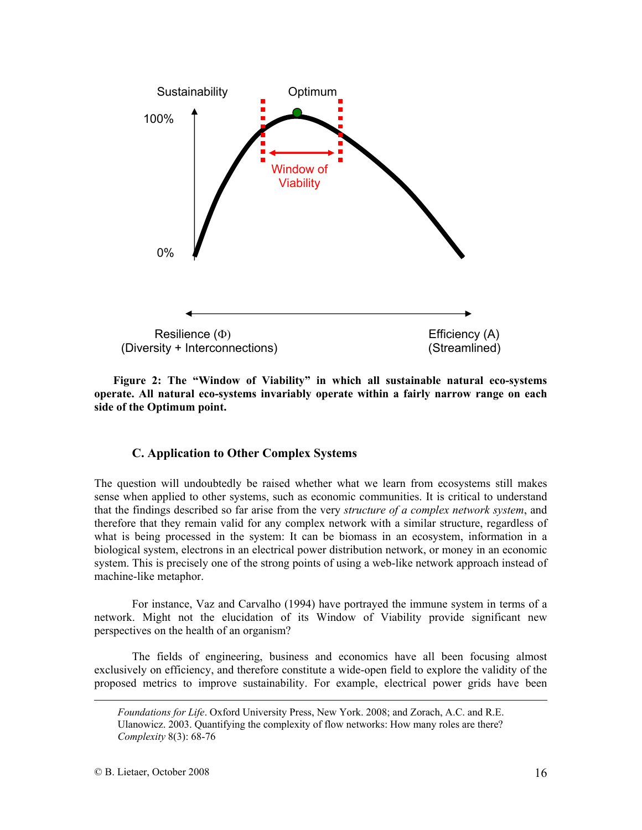

**Figure 2: The "Window of Viability" in which all sustainable natural eco-systems operate. All natural eco-systems invariably operate within a fairly narrow range on each side of the Optimum point.** 

#### **C. Application to Other Complex Systems**

The question will undoubtedly be raised whether what we learn from ecosystems still makes sense when applied to other systems, such as economic communities. It is critical to understand that the findings described so far arise from the very *structure of a complex network system*, and therefore that they remain valid for any complex network with a similar structure, regardless of what is being processed in the system: It can be biomass in an ecosystem, information in a biological system, electrons in an electrical power distribution network, or money in an economic system. This is precisely one of the strong points of using a web-like network approach instead of machine-like metaphor.

 For instance, Vaz and Carvalho (1994) have portrayed the immune system in terms of a network. Might not the elucidation of its Window of Viability provide significant new perspectives on the health of an organism?

 The fields of engineering, business and economics have all been focusing almost exclusively on efficiency, and therefore constitute a wide-open field to explore the validity of the proposed metrics to improve sustainability. For example, electrical power grids have been

*Foundations for Life*. Oxford University Press, New York. 2008; and Zorach, A.C. and R.E. Ulanowicz. 2003. Quantifying the complexity of flow networks: How many roles are there? *Complexity* 8(3): 68-76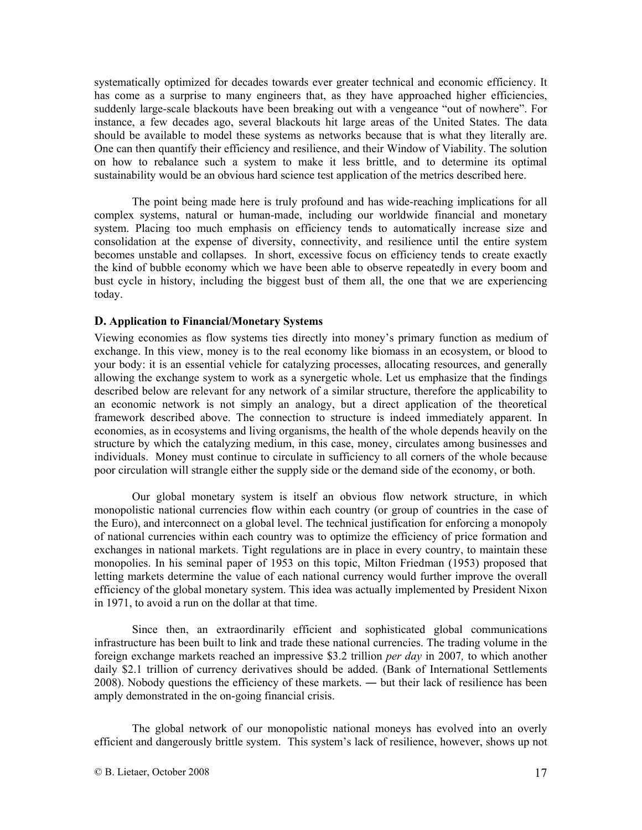systematically optimized for decades towards ever greater technical and economic efficiency. It has come as a surprise to many engineers that, as they have approached higher efficiencies, suddenly large-scale blackouts have been breaking out with a vengeance "out of nowhere". For instance, a few decades ago, several blackouts hit large areas of the United States. The data should be available to model these systems as networks because that is what they literally are. One can then quantify their efficiency and resilience, and their Window of Viability. The solution on how to rebalance such a system to make it less brittle, and to determine its optimal sustainability would be an obvious hard science test application of the metrics described here.

 The point being made here is truly profound and has wide-reaching implications for all complex systems, natural or human-made, including our worldwide financial and monetary system. Placing too much emphasis on efficiency tends to automatically increase size and consolidation at the expense of diversity, connectivity, and resilience until the entire system becomes unstable and collapses. In short, excessive focus on efficiency tends to create exactly the kind of bubble economy which we have been able to observe repeatedly in every boom and bust cycle in history, including the biggest bust of them all, the one that we are experiencing today.

#### **D. Application to Financial/Monetary Systems**

Viewing economies as flow systems ties directly into money's primary function as medium of exchange. In this view, money is to the real economy like biomass in an ecosystem, or blood to your body: it is an essential vehicle for catalyzing processes, allocating resources, and generally allowing the exchange system to work as a synergetic whole. Let us emphasize that the findings described below are relevant for any network of a similar structure, therefore the applicability to an economic network is not simply an analogy, but a direct application of the theoretical framework described above. The connection to structure is indeed immediately apparent. In economies, as in ecosystems and living organisms, the health of the whole depends heavily on the structure by which the catalyzing medium, in this case, money, circulates among businesses and individuals. Money must continue to circulate in sufficiency to all corners of the whole because poor circulation will strangle either the supply side or the demand side of the economy, or both.

 Our global monetary system is itself an obvious flow network structure, in which monopolistic national currencies flow within each country (or group of countries in the case of the Euro), and interconnect on a global level. The technical justification for enforcing a monopoly of national currencies within each country was to optimize the efficiency of price formation and exchanges in national markets. Tight regulations are in place in every country, to maintain these monopolies. In his seminal paper of 1953 on this topic, Milton Friedman (1953) proposed that letting markets determine the value of each national currency would further improve the overall efficiency of the global monetary system. This idea was actually implemented by President Nixon in 1971, to avoid a run on the dollar at that time.

 Since then, an extraordinarily efficient and sophisticated global communications infrastructure has been built to link and trade these national currencies. The trading volume in the foreign exchange markets reached an impressive \$3.2 trillion *per day* in 2007*,* to which another daily \$2.1 trillion of currency derivatives should be added. (Bank of International Settlements 2008). Nobody questions the efficiency of these markets. ― but their lack of resilience has been amply demonstrated in the on-going financial crisis.

 The global network of our monopolistic national moneys has evolved into an overly efficient and dangerously brittle system. This system's lack of resilience, however, shows up not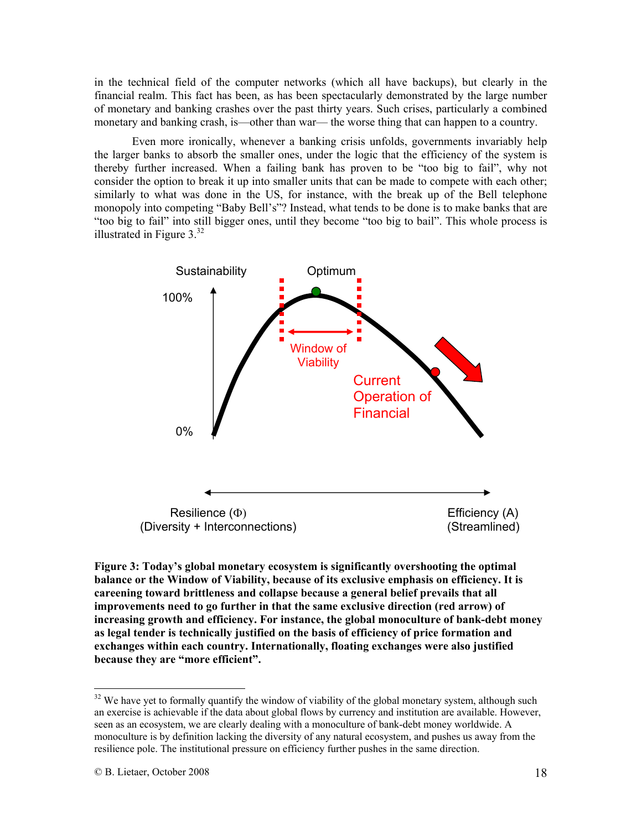in the technical field of the computer networks (which all have backups), but clearly in the financial realm. This fact has been, as has been spectacularly demonstrated by the large number of monetary and banking crashes over the past thirty years. Such crises, particularly a combined monetary and banking crash, is—other than war— the worse thing that can happen to a country.

 Even more ironically, whenever a banking crisis unfolds, governments invariably help the larger banks to absorb the smaller ones, under the logic that the efficiency of the system is thereby further increased. When a failing bank has proven to be "too big to fail", why not consider the option to break it up into smaller units that can be made to compete with each other; similarly to what was done in the US, for instance, with the break up of the Bell telephone monopoly into competing "Baby Bell's"? Instead, what tends to be done is to make banks that are "too big to fail" into still bigger ones, until they become "too big to bail". This whole process is illustrated in Figure  $3^{32}$ 



**Figure 3: Today's global monetary ecosystem is significantly overshooting the optimal balance or the Window of Viability, because of its exclusive emphasis on efficiency. It is careening toward brittleness and collapse because a general belief prevails that all improvements need to go further in that the same exclusive direction (red arrow) of increasing growth and efficiency. For instance, the global monoculture of bank-debt money as legal tender is technically justified on the basis of efficiency of price formation and exchanges within each country. Internationally, floating exchanges were also justified because they are "more efficient".** 

 $32$  We have yet to formally quantify the window of viability of the global monetary system, although such an exercise is achievable if the data about global flows by currency and institution are available. However, seen as an ecosystem, we are clearly dealing with a monoculture of bank-debt money worldwide. A monoculture is by definition lacking the diversity of any natural ecosystem, and pushes us away from the resilience pole. The institutional pressure on efficiency further pushes in the same direction.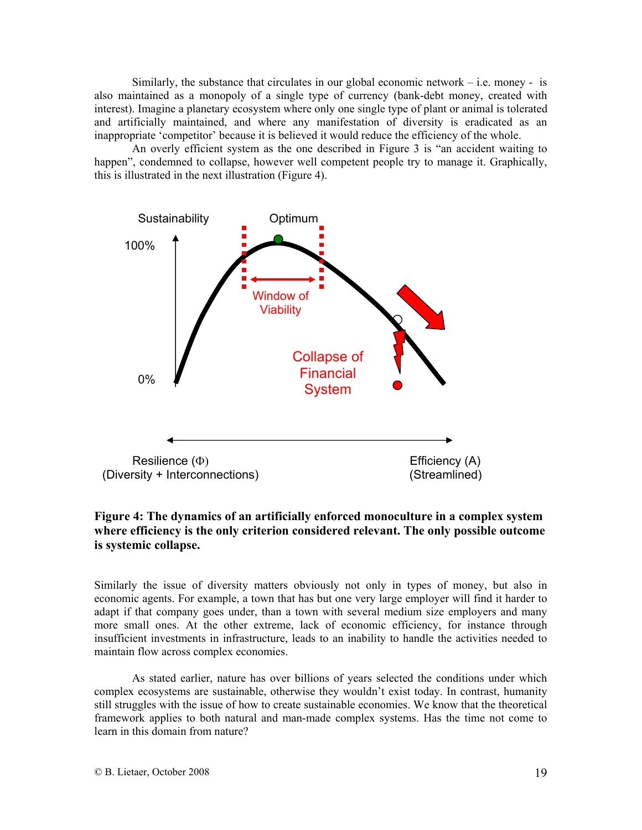Similarly, the substance that circulates in our global economic network  $-$  i.e. money - is also maintained as a monopoly of a single type of currency (bank-debt money, created with interest). Imagine a planetary ecosystem where only one single type of plant or animal is tolerated and artificially maintained, and where any manifestation of diversity is eradicated as an inappropriate 'competitor' because it is believed it would reduce the efficiency of the whole.

An overly efficient system as the one described in Figure 3 is "an accident waiting to happen", condemned to collapse, however well competent people try to manage it. Graphically, this is illustrated in the next illustration (Figure 4).



### **Figure 4: The dynamics of an artificially enforced monoculture in a complex system where efficiency is the only criterion considered relevant. The only possible outcome is systemic collapse.**

Similarly the issue of diversity matters obviously not only in types of money, but also in economic agents. For example, a town that has but one very large employer will find it harder to adapt if that company goes under, than a town with several medium size employers and many more small ones. At the other extreme, lack of economic efficiency, for instance through insufficient investments in infrastructure, leads to an inability to handle the activities needed to maintain flow across complex economies.

 As stated earlier, nature has over billions of years selected the conditions under which complex ecosystems are sustainable, otherwise they wouldn't exist today. In contrast, humanity still struggles with the issue of how to create sustainable economies. We know that the theoretical framework applies to both natural and man-made complex systems. Has the time not come to learn in this domain from nature?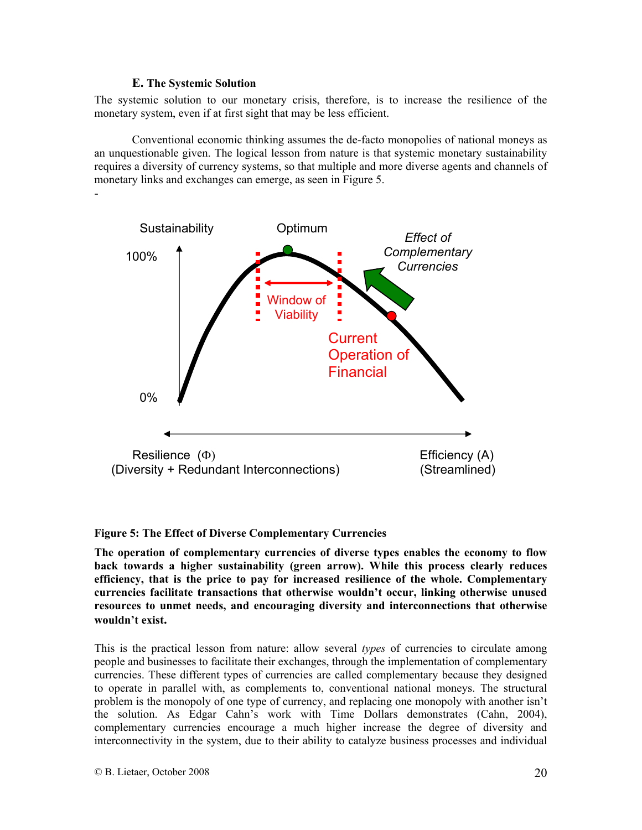#### **E. The Systemic Solution**

The systemic solution to our monetary crisis, therefore, is to increase the resilience of the monetary system, even if at first sight that may be less efficient.

 Conventional economic thinking assumes the de-facto monopolies of national moneys as an unquestionable given. The logical lesson from nature is that systemic monetary sustainability requires a diversity of currency systems, so that multiple and more diverse agents and channels of monetary links and exchanges can emerge, as seen in Figure 5. -



#### **Figure 5: The Effect of Diverse Complementary Currencies**

**The operation of complementary currencies of diverse types enables the economy to flow back towards a higher sustainability (green arrow). While this process clearly reduces efficiency, that is the price to pay for increased resilience of the whole. Complementary currencies facilitate transactions that otherwise wouldn't occur, linking otherwise unused resources to unmet needs, and encouraging diversity and interconnections that otherwise wouldn't exist.** 

This is the practical lesson from nature: allow several *types* of currencies to circulate among people and businesses to facilitate their exchanges, through the implementation of complementary currencies. These different types of currencies are called complementary because they designed to operate in parallel with, as complements to, conventional national moneys. The structural problem is the monopoly of one type of currency, and replacing one monopoly with another isn't the solution. As Edgar Cahn's work with Time Dollars demonstrates (Cahn, 2004), complementary currencies encourage a much higher increase the degree of diversity and interconnectivity in the system, due to their ability to catalyze business processes and individual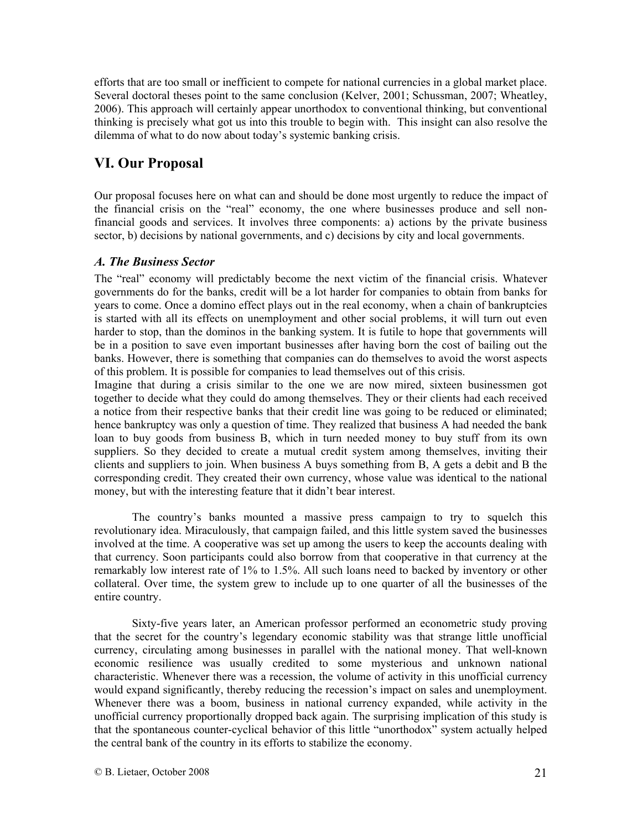efforts that are too small or inefficient to compete for national currencies in a global market place. Several doctoral theses point to the same conclusion (Kelver, 2001; Schussman, 2007; Wheatley, 2006). This approach will certainly appear unorthodox to conventional thinking, but conventional thinking is precisely what got us into this trouble to begin with. This insight can also resolve the dilemma of what to do now about today's systemic banking crisis.

## **VI. Our Proposal**

Our proposal focuses here on what can and should be done most urgently to reduce the impact of the financial crisis on the "real" economy, the one where businesses produce and sell nonfinancial goods and services. It involves three components: a) actions by the private business sector, b) decisions by national governments, and c) decisions by city and local governments.

#### *A. The Business Sector*

The "real" economy will predictably become the next victim of the financial crisis. Whatever governments do for the banks, credit will be a lot harder for companies to obtain from banks for years to come. Once a domino effect plays out in the real economy, when a chain of bankruptcies is started with all its effects on unemployment and other social problems, it will turn out even harder to stop, than the dominos in the banking system. It is futile to hope that governments will be in a position to save even important businesses after having born the cost of bailing out the banks. However, there is something that companies can do themselves to avoid the worst aspects of this problem. It is possible for companies to lead themselves out of this crisis.

Imagine that during a crisis similar to the one we are now mired, sixteen businessmen got together to decide what they could do among themselves. They or their clients had each received a notice from their respective banks that their credit line was going to be reduced or eliminated; hence bankruptcy was only a question of time. They realized that business A had needed the bank loan to buy goods from business B, which in turn needed money to buy stuff from its own suppliers. So they decided to create a mutual credit system among themselves, inviting their clients and suppliers to join. When business A buys something from B, A gets a debit and B the corresponding credit. They created their own currency, whose value was identical to the national money, but with the interesting feature that it didn't bear interest.

 The country's banks mounted a massive press campaign to try to squelch this revolutionary idea. Miraculously, that campaign failed, and this little system saved the businesses involved at the time. A cooperative was set up among the users to keep the accounts dealing with that currency. Soon participants could also borrow from that cooperative in that currency at the remarkably low interest rate of 1% to 1.5%. All such loans need to backed by inventory or other collateral. Over time, the system grew to include up to one quarter of all the businesses of the entire country.

 Sixty-five years later, an American professor performed an econometric study proving that the secret for the country's legendary economic stability was that strange little unofficial currency, circulating among businesses in parallel with the national money. That well-known economic resilience was usually credited to some mysterious and unknown national characteristic. Whenever there was a recession, the volume of activity in this unofficial currency would expand significantly, thereby reducing the recession's impact on sales and unemployment. Whenever there was a boom, business in national currency expanded, while activity in the unofficial currency proportionally dropped back again. The surprising implication of this study is that the spontaneous counter-cyclical behavior of this little "unorthodox" system actually helped the central bank of the country in its efforts to stabilize the economy.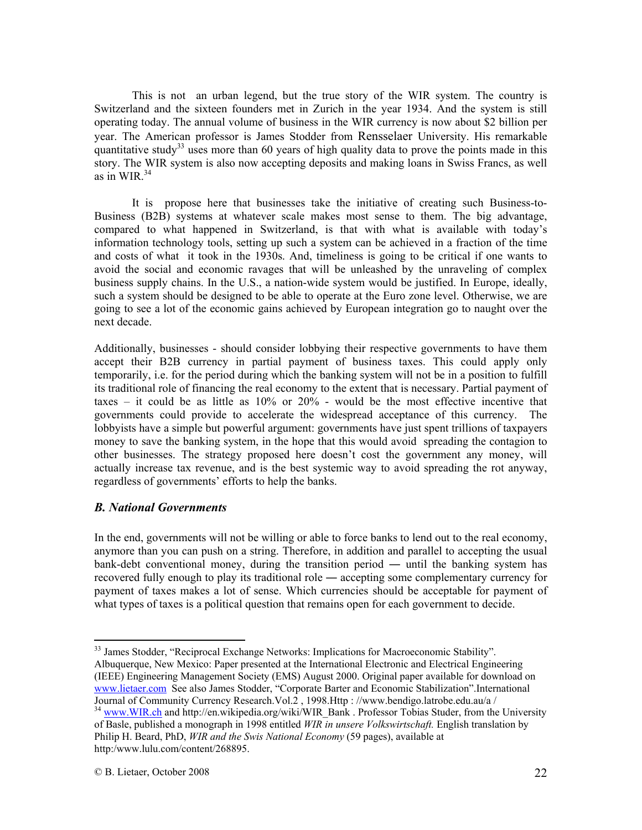This is not an urban legend, but the true story of the WIR system. The country is Switzerland and the sixteen founders met in Zurich in the year 1934. And the system is still operating today. The annual volume of business in the WIR currency is now about \$2 billion per year. The American professor is James Stodder from Rensselaer University. His remarkable quantitative study<sup>33</sup> uses more than 60 years of high quality data to prove the points made in this story. The WIR system is also now accepting deposits and making loans in Swiss Francs, as well as in WIR.<sup>34</sup>

 It is propose here that businesses take the initiative of creating such Business-to-Business (B2B) systems at whatever scale makes most sense to them. The big advantage, compared to what happened in Switzerland, is that with what is available with today's information technology tools, setting up such a system can be achieved in a fraction of the time and costs of what it took in the 1930s. And, timeliness is going to be critical if one wants to avoid the social and economic ravages that will be unleashed by the unraveling of complex business supply chains. In the U.S., a nation-wide system would be justified. In Europe, ideally, such a system should be designed to be able to operate at the Euro zone level. Otherwise, we are going to see a lot of the economic gains achieved by European integration go to naught over the next decade.

Additionally, businesses - should consider lobbying their respective governments to have them accept their B2B currency in partial payment of business taxes. This could apply only temporarily, i.e. for the period during which the banking system will not be in a position to fulfill its traditional role of financing the real economy to the extent that is necessary. Partial payment of taxes – it could be as little as  $10\%$  or  $20\%$  - would be the most effective incentive that governments could provide to accelerate the widespread acceptance of this currency. The lobbyists have a simple but powerful argument: governments have just spent trillions of taxpayers money to save the banking system, in the hope that this would avoid spreading the contagion to other businesses. The strategy proposed here doesn't cost the government any money, will actually increase tax revenue, and is the best systemic way to avoid spreading the rot anyway, regardless of governments' efforts to help the banks.

### *B. National Governments*

In the end, governments will not be willing or able to force banks to lend out to the real economy, anymore than you can push on a string. Therefore, in addition and parallel to accepting the usual bank-debt conventional money, during the transition period ― until the banking system has recovered fully enough to play its traditional role ― accepting some complementary currency for payment of taxes makes a lot of sense. Which currencies should be acceptable for payment of what types of taxes is a political question that remains open for each government to decide.

<sup>&</sup>lt;sup>33</sup> James Stodder, "Reciprocal Exchange Networks: Implications for Macroeconomic Stability". Albuquerque, New Mexico: Paper presented at the International Electronic and Electrical Engineering (IEEE) Engineering Management Society (EMS) August 2000. Original paper available for download on www.lietaer.com See also James Stodder, "Corporate Barter and Economic Stabilization".International Journal of Community Currency Research.Vol.2 , 1998.Http : //www.bendigo.latrobe.edu.au/a /

<sup>&</sup>lt;sup>34</sup> www.WIR.ch and http://en.wikipedia.org/wiki/WIR\_Bank . Professor Tobias Studer, from the University of Basle, published a monograph in 1998 entitled *WIR in unsere Volkswirtschaft.* English translation by Philip H. Beard, PhD, *WIR and the Swis National Economy* (59 pages), available at http:/www.lulu.com/content/268895.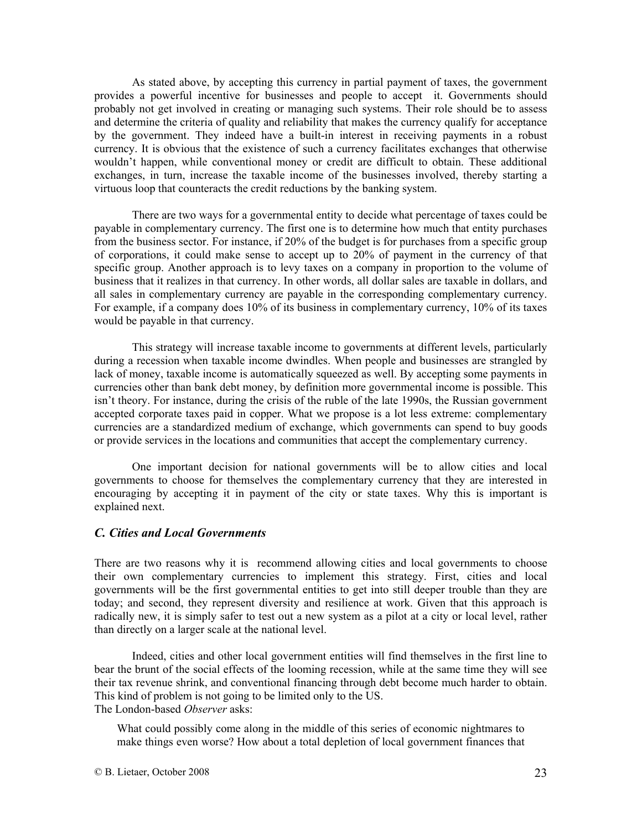As stated above, by accepting this currency in partial payment of taxes, the government provides a powerful incentive for businesses and people to accept it. Governments should probably not get involved in creating or managing such systems. Their role should be to assess and determine the criteria of quality and reliability that makes the currency qualify for acceptance by the government. They indeed have a built-in interest in receiving payments in a robust currency. It is obvious that the existence of such a currency facilitates exchanges that otherwise wouldn't happen, while conventional money or credit are difficult to obtain. These additional exchanges, in turn, increase the taxable income of the businesses involved, thereby starting a virtuous loop that counteracts the credit reductions by the banking system.

 There are two ways for a governmental entity to decide what percentage of taxes could be payable in complementary currency. The first one is to determine how much that entity purchases from the business sector. For instance, if 20% of the budget is for purchases from a specific group of corporations, it could make sense to accept up to 20% of payment in the currency of that specific group. Another approach is to levy taxes on a company in proportion to the volume of business that it realizes in that currency. In other words, all dollar sales are taxable in dollars, and all sales in complementary currency are payable in the corresponding complementary currency. For example, if a company does 10% of its business in complementary currency, 10% of its taxes would be payable in that currency.

 This strategy will increase taxable income to governments at different levels, particularly during a recession when taxable income dwindles. When people and businesses are strangled by lack of money, taxable income is automatically squeezed as well. By accepting some payments in currencies other than bank debt money, by definition more governmental income is possible. This isn't theory. For instance, during the crisis of the ruble of the late 1990s, the Russian government accepted corporate taxes paid in copper. What we propose is a lot less extreme: complementary currencies are a standardized medium of exchange, which governments can spend to buy goods or provide services in the locations and communities that accept the complementary currency.

 One important decision for national governments will be to allow cities and local governments to choose for themselves the complementary currency that they are interested in encouraging by accepting it in payment of the city or state taxes. Why this is important is explained next.

#### *C. Cities and Local Governments*

There are two reasons why it is recommend allowing cities and local governments to choose their own complementary currencies to implement this strategy. First, cities and local governments will be the first governmental entities to get into still deeper trouble than they are today; and second, they represent diversity and resilience at work. Given that this approach is radically new, it is simply safer to test out a new system as a pilot at a city or local level, rather than directly on a larger scale at the national level.

 Indeed, cities and other local government entities will find themselves in the first line to bear the brunt of the social effects of the looming recession, while at the same time they will see their tax revenue shrink, and conventional financing through debt become much harder to obtain. This kind of problem is not going to be limited only to the US. The London-based *Observer* asks:

What could possibly come along in the middle of this series of economic nightmares to make things even worse? How about a total depletion of local government finances that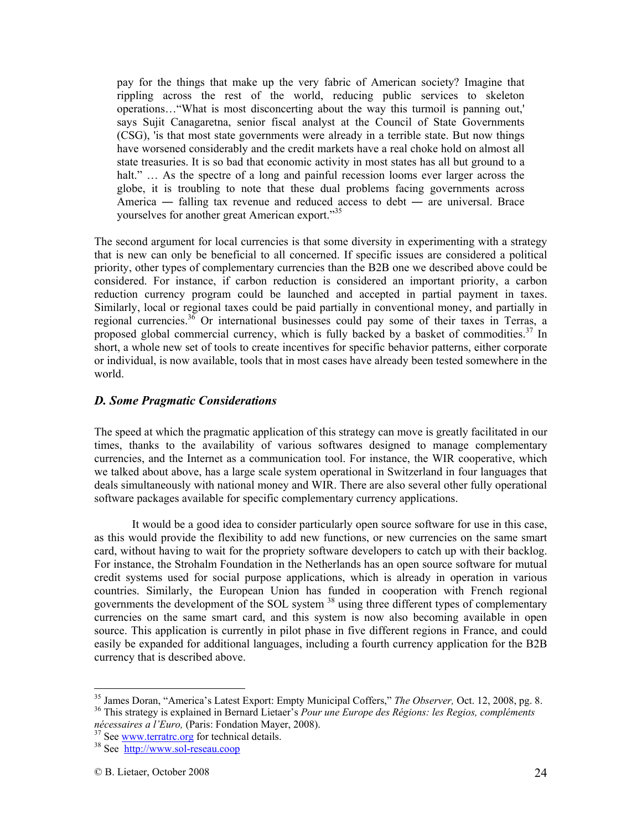pay for the things that make up the very fabric of American society? Imagine that rippling across the rest of the world, reducing public services to skeleton operations…"What is most disconcerting about the way this turmoil is panning out,' says Sujit Canagaretna, senior fiscal analyst at the Council of State Governments (CSG), 'is that most state governments were already in a terrible state. But now things have worsened considerably and the credit markets have a real choke hold on almost all state treasuries. It is so bad that economic activity in most states has all but ground to a halt." ... As the spectre of a long and painful recession looms ever larger across the globe, it is troubling to note that these dual problems facing governments across America ― falling tax revenue and reduced access to debt ― are universal. Brace yourselves for another great American export."35

The second argument for local currencies is that some diversity in experimenting with a strategy that is new can only be beneficial to all concerned. If specific issues are considered a political priority, other types of complementary currencies than the B2B one we described above could be considered. For instance, if carbon reduction is considered an important priority, a carbon reduction currency program could be launched and accepted in partial payment in taxes. Similarly, local or regional taxes could be paid partially in conventional money, and partially in regional currencies.36 Or international businesses could pay some of their taxes in Terras, a proposed global commercial currency, which is fully backed by a basket of commodities.<sup>37</sup> In short, a whole new set of tools to create incentives for specific behavior patterns, either corporate or individual, is now available, tools that in most cases have already been tested somewhere in the world.

#### *D. Some Pragmatic Considerations*

The speed at which the pragmatic application of this strategy can move is greatly facilitated in our times, thanks to the availability of various softwares designed to manage complementary currencies, and the Internet as a communication tool. For instance, the WIR cooperative, which we talked about above, has a large scale system operational in Switzerland in four languages that deals simultaneously with national money and WIR. There are also several other fully operational software packages available for specific complementary currency applications.

 It would be a good idea to consider particularly open source software for use in this case, as this would provide the flexibility to add new functions, or new currencies on the same smart card, without having to wait for the propriety software developers to catch up with their backlog. For instance, the Strohalm Foundation in the Netherlands has an open source software for mutual credit systems used for social purpose applications, which is already in operation in various countries. Similarly, the European Union has funded in cooperation with French regional governments the development of the SOL system <sup>38</sup> using three different types of complementary currencies on the same smart card, and this system is now also becoming available in open source. This application is currently in pilot phase in five different regions in France, and could easily be expanded for additional languages, including a fourth currency application for the B2B currency that is described above.

<sup>&</sup>lt;sup>35</sup> James Doran, "America's Latest Export: Empty Municipal Coffers," *The Observer*, Oct. 12, 2008, pg. 8.<br><sup>36</sup> This strategy is explained in Bernard Lietaer's *Pour une Europe des Régions: les Regios, compléments* 

*nécessaires a l'Euro*, (Paris: Fondation Mayer, 2008).<br><sup>37</sup> See <u>www.terratrc.org</u> for technical details.<br><sup>38</sup> See http://www.sol-reseau.coop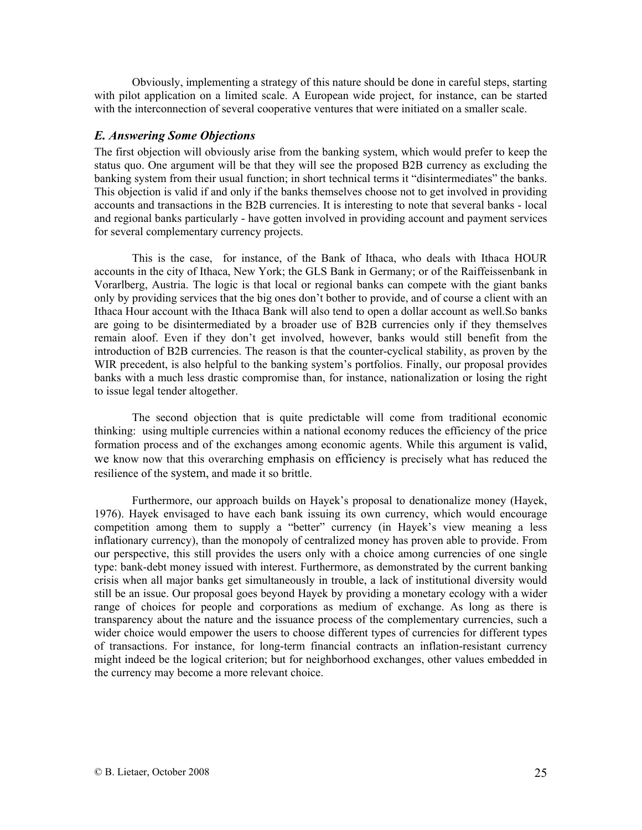Obviously, implementing a strategy of this nature should be done in careful steps, starting with pilot application on a limited scale. A European wide project, for instance, can be started with the interconnection of several cooperative ventures that were initiated on a smaller scale.

#### *E. Answering Some Objections*

The first objection will obviously arise from the banking system, which would prefer to keep the status quo. One argument will be that they will see the proposed B2B currency as excluding the banking system from their usual function; in short technical terms it "disintermediates" the banks. This objection is valid if and only if the banks themselves choose not to get involved in providing accounts and transactions in the B2B currencies. It is interesting to note that several banks - local and regional banks particularly - have gotten involved in providing account and payment services for several complementary currency projects.

 This is the case, for instance, of the Bank of Ithaca, who deals with Ithaca HOUR accounts in the city of Ithaca, New York; the GLS Bank in Germany; or of the Raiffeissenbank in Vorarlberg, Austria. The logic is that local or regional banks can compete with the giant banks only by providing services that the big ones don't bother to provide, and of course a client with an Ithaca Hour account with the Ithaca Bank will also tend to open a dollar account as well.So banks are going to be disintermediated by a broader use of B2B currencies only if they themselves remain aloof. Even if they don't get involved, however, banks would still benefit from the introduction of B2B currencies. The reason is that the counter-cyclical stability, as proven by the WIR precedent, is also helpful to the banking system's portfolios. Finally, our proposal provides banks with a much less drastic compromise than, for instance, nationalization or losing the right to issue legal tender altogether.

 The second objection that is quite predictable will come from traditional economic thinking: using multiple currencies within a national economy reduces the efficiency of the price formation process and of the exchanges among economic agents. While this argument is valid, we know now that this overarching emphasis on efficiency is precisely what has reduced the resilience of the system, and made it so brittle.

 Furthermore, our approach builds on Hayek's proposal to denationalize money (Hayek, 1976). Hayek envisaged to have each bank issuing its own currency, which would encourage competition among them to supply a "better" currency (in Hayek's view meaning a less inflationary currency), than the monopoly of centralized money has proven able to provide. From our perspective, this still provides the users only with a choice among currencies of one single type: bank-debt money issued with interest. Furthermore, as demonstrated by the current banking crisis when all major banks get simultaneously in trouble, a lack of institutional diversity would still be an issue. Our proposal goes beyond Hayek by providing a monetary ecology with a wider range of choices for people and corporations as medium of exchange. As long as there is transparency about the nature and the issuance process of the complementary currencies, such a wider choice would empower the users to choose different types of currencies for different types of transactions. For instance, for long-term financial contracts an inflation-resistant currency might indeed be the logical criterion; but for neighborhood exchanges, other values embedded in the currency may become a more relevant choice.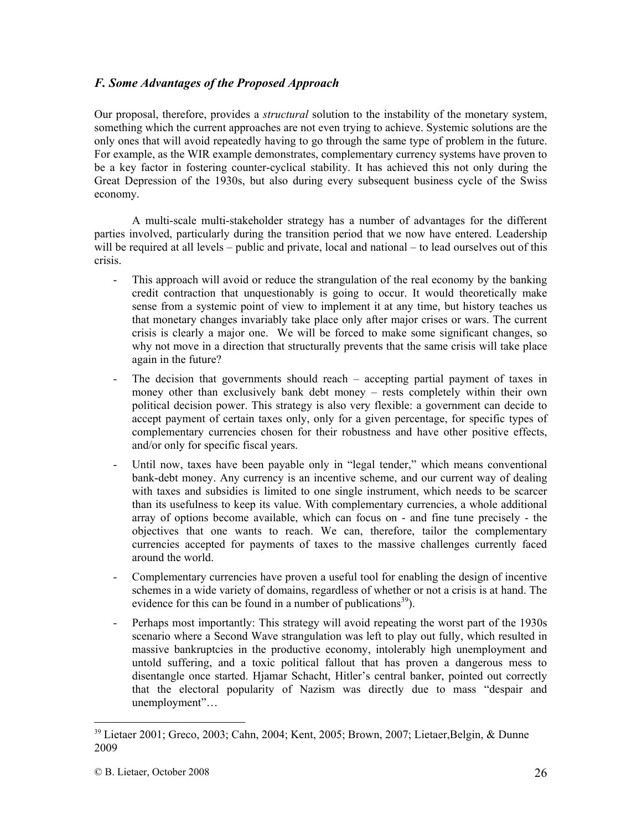### *F. Some Advantages of the Proposed Approach*

Our proposal, therefore, provides a *structural* solution to the instability of the monetary system, something which the current approaches are not even trying to achieve. Systemic solutions are the only ones that will avoid repeatedly having to go through the same type of problem in the future. For example, as the WIR example demonstrates, complementary currency systems have proven to be a key factor in fostering counter-cyclical stability. It has achieved this not only during the Great Depression of the 1930s, but also during every subsequent business cycle of the Swiss economy.

 A multi-scale multi-stakeholder strategy has a number of advantages for the different parties involved, particularly during the transition period that we now have entered. Leadership will be required at all levels – public and private, local and national – to lead ourselves out of this crisis.

- This approach will avoid or reduce the strangulation of the real economy by the banking credit contraction that unquestionably is going to occur. It would theoretically make sense from a systemic point of view to implement it at any time, but history teaches us that monetary changes invariably take place only after major crises or wars. The current crisis is clearly a major one. We will be forced to make some significant changes, so why not move in a direction that structurally prevents that the same crisis will take place again in the future?
- The decision that governments should reach accepting partial payment of taxes in money other than exclusively bank debt money – rests completely within their own political decision power. This strategy is also very flexible: a government can decide to accept payment of certain taxes only, only for a given percentage, for specific types of complementary currencies chosen for their robustness and have other positive effects, and/or only for specific fiscal years.
- Until now, taxes have been payable only in "legal tender," which means conventional bank-debt money. Any currency is an incentive scheme, and our current way of dealing with taxes and subsidies is limited to one single instrument, which needs to be scarcer than its usefulness to keep its value. With complementary currencies, a whole additional array of options become available, which can focus on - and fine tune precisely - the objectives that one wants to reach. We can, therefore, tailor the complementary currencies accepted for payments of taxes to the massive challenges currently faced around the world.
- Complementary currencies have proven a useful tool for enabling the design of incentive schemes in a wide variety of domains, regardless of whether or not a crisis is at hand. The evidence for this can be found in a number of publications $39$ ).
- Perhaps most importantly: This strategy will avoid repeating the worst part of the 1930s scenario where a Second Wave strangulation was left to play out fully, which resulted in massive bankruptcies in the productive economy, intolerably high unemployment and untold suffering, and a toxic political fallout that has proven a dangerous mess to disentangle once started. Hjamar Schacht, Hitler's central banker, pointed out correctly that the electoral popularity of Nazism was directly due to mass "despair and unemployment"…

<sup>39</sup> Lietaer 2001; Greco, 2003; Cahn, 2004; Kent, 2005; Brown, 2007; Lietaer,Belgin, & Dunne 2009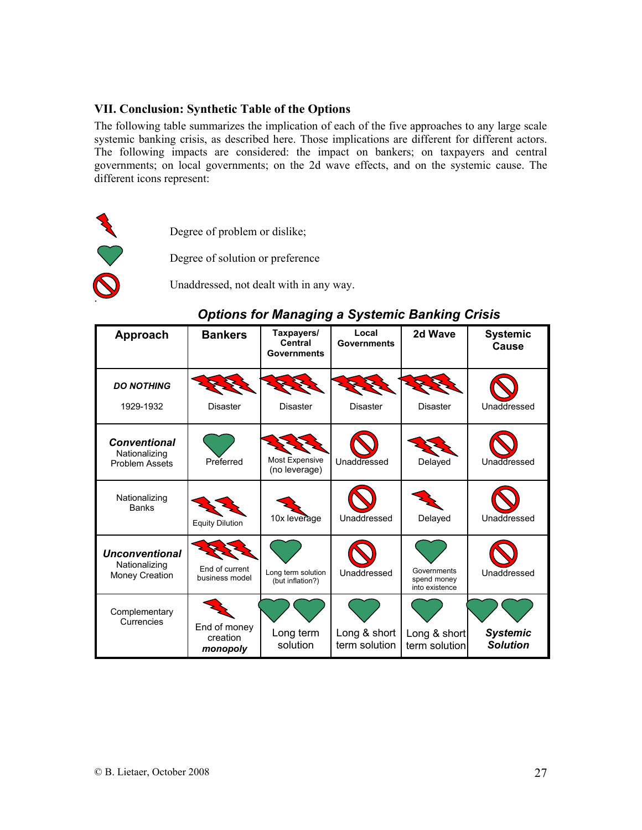## **VII. Conclusion: Synthetic Table of the Options**

The following table summarizes the implication of each of the five approaches to any large scale systemic banking crisis, as described here. Those implications are different for different actors. The following impacts are considered: the impact on bankers; on taxpayers and central governments; on local governments; on the 2d wave effects, and on the systemic cause. The different icons represent:



Degree of problem or dislike;

Degree of solution or preference

Unaddressed, not dealt with in any way.

| <b>Approach</b>                                               | <b>Bankers</b>                       | Taxpayers/<br><b>Central</b><br><b>Governments</b> | Local<br><b>Governments</b>   | 2d Wave                                      | <b>Systemic</b><br>Cause           |
|---------------------------------------------------------------|--------------------------------------|----------------------------------------------------|-------------------------------|----------------------------------------------|------------------------------------|
| <b>DO NOTHING</b><br>1929-1932                                | <b>Disaster</b>                      | <b>Disaster</b>                                    | <b>Disaster</b>               | <b>Disaster</b>                              | Unaddressed                        |
| <b>Conventional</b><br>Nationalizing<br><b>Problem Assets</b> | Preferred                            | Most Expensive<br>(no leverage)                    | Unaddressed                   | Delayed                                      | Unaddressed                        |
| Nationalizing<br><b>Banks</b>                                 | <b>Equity Dilution</b>               | 10x leverage                                       | Unaddressed                   | Delayed                                      | Unaddressed                        |
| <b>Unconventional</b><br>Nationalizing<br>Money Creation      | End of current<br>business model     | Long term solution<br>(but inflation?)             | Unaddressed                   | Governments<br>spend money<br>into existence | Unaddressed                        |
| Complementary<br>Currencies                                   | End of money<br>creation<br>monopoly | Long term<br>solution                              | Long & short<br>term solution | Long & short<br>term solution                | <b>Systemic</b><br><b>Solution</b> |

## *Options for Managing a Systemic Banking Crisis*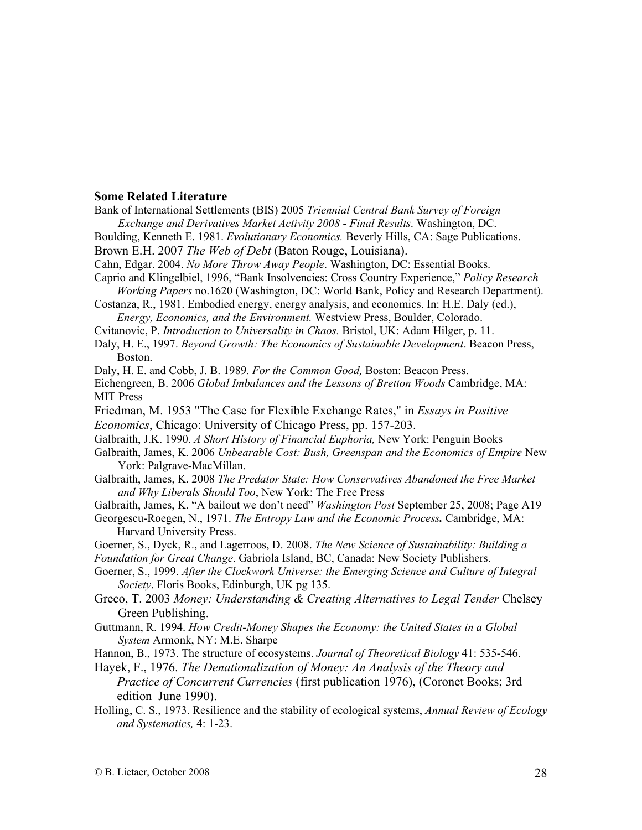#### **Some Related Literature**

- Bank of International Settlements (BIS) 2005 *Triennial Central Bank Survey of Foreign Exchange and Derivatives Market Activity 2008 - Final Results*. Washington, DC.
- Boulding, Kenneth E. 1981. *Evolutionary Economics.* Beverly Hills, CA: Sage Publications.
- Brown E.H. 2007 *The Web of Debt* (Baton Rouge, Louisiana).
- Cahn, Edgar. 2004. *No More Throw Away People*. Washington, DC: Essential Books.
- Caprio and Klingelbiel, 1996, "Bank Insolvencies: Cross Country Experience," *Policy Research Working Papers* no.1620 (Washington, DC: World Bank, Policy and Research Department).
- Costanza, R., 1981. Embodied energy, energy analysis, and economics. In: H.E. Daly (ed.), *Energy, Economics, and the Environment.* Westview Press, Boulder, Colorado.
- Cvitanovic, P. *Introduction to Universality in Chaos.* Bristol, UK: Adam Hilger, p. 11.
- Daly, H. E., 1997. *Beyond Growth: The Economics of Sustainable Development*. Beacon Press, Boston.
- Daly, H. E. and Cobb, J. B. 1989. *For the Common Good,* Boston: Beacon Press.
- Eichengreen, B. 2006 *Global Imbalances and the Lessons of Bretton Woods* Cambridge, MA: MIT Press
- Friedman, M. 1953 "The Case for Flexible Exchange Rates," in *Essays in Positive Economics*, Chicago: University of Chicago Press, pp. 157-203.
- Galbraith, J.K. 1990. *A Short History of Financial Euphoria,* New York: Penguin Books
- Galbraith, James, K. 2006 *Unbearable Cost: Bush, Greenspan and the Economics of Empire* New York: Palgrave-MacMillan.
- Galbraith, James, K. 2008 *The Predator State: How Conservatives Abandoned the Free Market and Why Liberals Should Too*, New York: The Free Press

Galbraith, James, K. "A bailout we don't need" *Washington Post* September 25, 2008; Page A19

- Georgescu-Roegen, N., 1971. *The Entropy Law and the Economic Process.* Cambridge, MA: Harvard University Press.
- Goerner, S., Dyck, R., and Lagerroos, D. 2008. *The New Science of Sustainability: Building a Foundation for Great Change*. Gabriola Island, BC, Canada: New Society Publishers.
- Goerner, S., 1999. *After the Clockwork Universe: the Emerging Science and Culture of Integral Society*. Floris Books, Edinburgh, UK pg 135.
- Greco, T. 2003 *Money: Understanding & Creating Alternatives to Legal Tender* Chelsey Green Publishing.
- Guttmann, R. 1994. *How Credit-Money Shapes the Economy: the United States in a Global System* Armonk, NY: M.E. Sharpe
- Hannon, B., 1973. The structure of ecosystems. *Journal of Theoretical Biology* 41: 535-546.
- Hayek, F., 1976. *The Denationalization of Money: An Analysis of the Theory and Practice of Concurrent Currencies* (first publication 1976), (Coronet Books; 3rd edition June 1990).
- Holling, C. S., 1973. Resilience and the stability of ecological systems, *Annual Review of Ecology and Systematics,* 4: 1-23.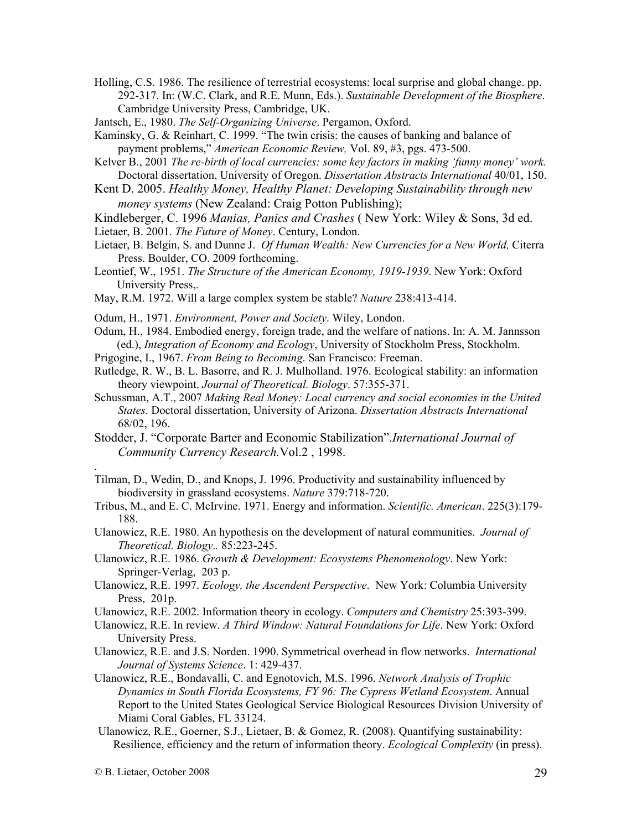- Holling, C.S. 1986. The resilience of terrestrial ecosystems: local surprise and global change. pp. 292-317. In: (W.C. Clark, and R.E. Munn, Eds.). *Sustainable Development of the Biosphere*. Cambridge University Press, Cambridge, UK.
- Jantsch, E., 1980. *The Self-Organizing Universe*. Pergamon, Oxford.
- Kaminsky, G. & Reinhart, C. 1999. "The twin crisis: the causes of banking and balance of payment problems," *American Economic Review,* Vol. 89, #3, pgs. 473-500.
- Kelver B., 2001 *The re-birth of local currencies: some key factors in making 'funny money' work.*  Doctoral dissertation, University of Oregon. *Dissertation Abstracts International* 40/01, 150.
- Kent D. 2005. *Healthy Money, Healthy Planet: Developing Sustainability through new money systems* (New Zealand: Craig Potton Publishing);
- Kindleberger, C. 1996 *Manias, Panics and Crashes* ( New York: Wiley & Sons, 3d ed.
- Lietaer, B. 2001. *The Future of Money*. Century, London.
- Lietaer, B. Belgin, S. and Dunne J. *Of Human Wealth: New Currencies for a New World,* Citerra Press. Boulder, CO. 2009 forthcoming.
- Leontief, W., 1951. *The Structure of the American Economy, 1919-1939*. New York: Oxford University Press,.
- May, R.M. 1972. Will a large complex system be stable? *Nature* 238:413-414.
- Odum, H., 1971. *Environment, Power and Society*. Wiley, London.
- Odum, H., 1984. Embodied energy, foreign trade, and the welfare of nations. In: A. M. Jannsson (ed.), *Integration of Economy and Ecology*, University of Stockholm Press, Stockholm.
- Prigogine, I., 1967. *From Being to Becoming*. San Francisco: Freeman.
- Rutledge, R. W., B. L. Basorre, and R. J. Mulholland. 1976. Ecological stability: an information theory viewpoint. *Journal of Theoretical. Biology*. 57:355-371.
- Schussman, A.T., 2007 *Making Real Money: Local currency and social economies in the United States.* Doctoral dissertation, University of Arizona. *Dissertation Abstracts International*  68/02, 196.
- Stodder, J. "Corporate Barter and Economic Stabilization".*International Journal of Community Currency Research.*Vol.2 , 1998.
- Tilman, D., Wedin, D., and Knops, J. 1996. Productivity and sustainability influenced by biodiversity in grassland ecosystems. *Nature* 379:718-720.
- Tribus, M., and E. C. McIrvine. 1971. Energy and information. *Scientific. American*. 225(3):179- 188.
- Ulanowicz, R.E. 1980. An hypothesis on the development of natural communities. *Journal of Theoretical. Biology*.*.* 85:223-245.
- Ulanowicz, R.E. 1986. *Growth & Development: Ecosystems Phenomenology*. New York: Springer-Verlag, 203 p.
- Ulanowicz, R.E. 1997. *Ecology, the Ascendent Perspective*. New York: Columbia University Press, 201p.
- Ulanowicz, R.E. 2002. Information theory in ecology. *Computers and Chemistry* 25:393-399.
- Ulanowicz, R.E. In review. *A Third Window: Natural Foundations for Life*. New York: Oxford University Press.
- Ulanowicz, R.E. and J.S. Norden. 1990. Symmetrical overhead in flow networks. *International Journal of Systems Science*. 1: 429-437.
- Ulanowicz, R.E., Bondavalli, C. and Egnotovich, M.S. 1996. *Network Analysis of Trophic Dynamics in South Florida Ecosystems, FY 96: The Cypress Wetland Ecosystem*. Annual Report to the United States Geological Service Biological Resources Division University of Miami Coral Gables, FL 33124.
- Ulanowicz, R.E., Goerner, S.J., Lietaer, B. & Gomez, R. (2008). Quantifying sustainability: Resilience, efficiency and the return of information theory. *Ecological Complexity* (in press).

.